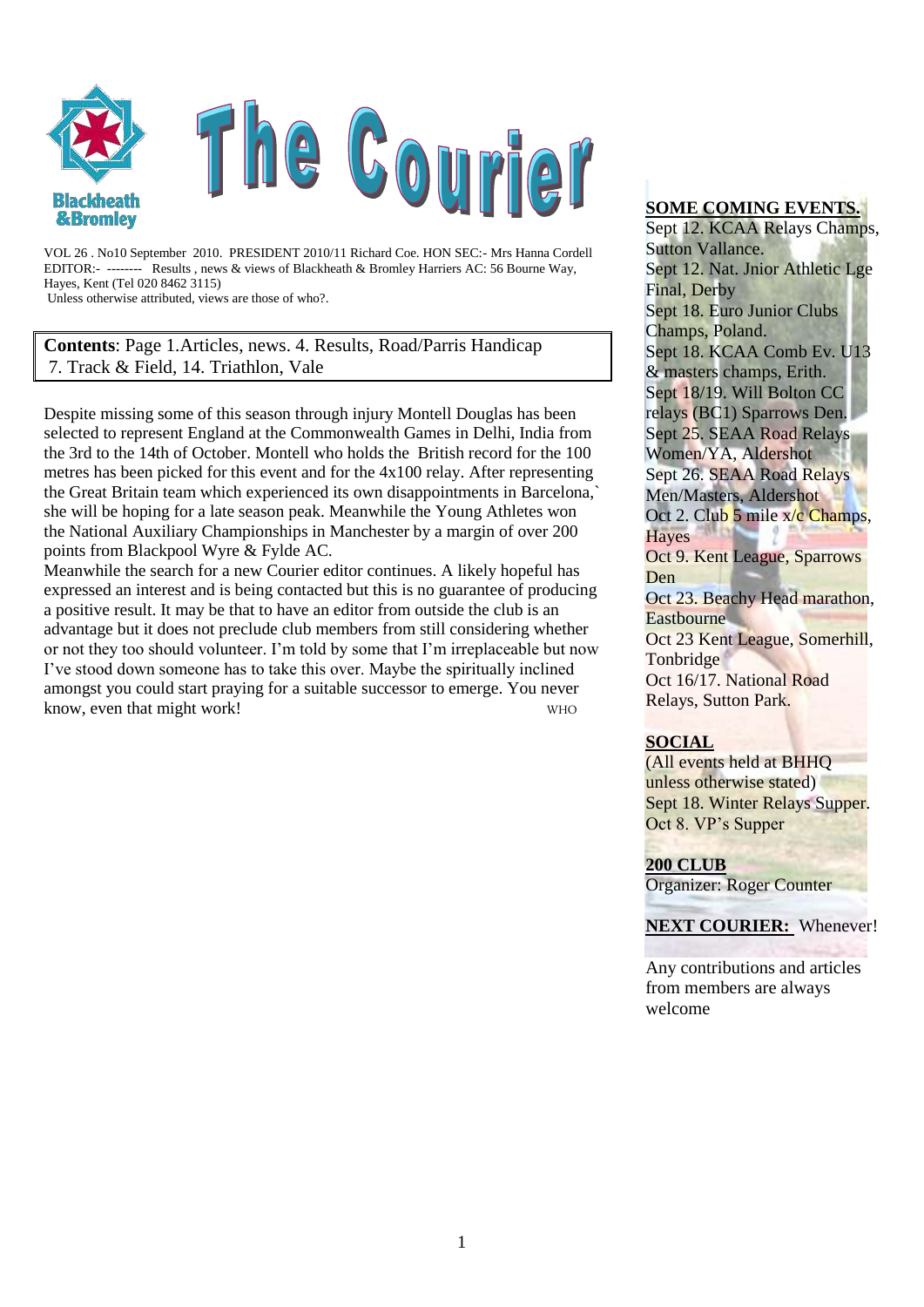

VOL 26 . No10 September 2010. PRESIDENT 2010/11 Richard Coe. HON SEC:- Mrs Hanna Cordell EDITOR:- -------- Results , news & views of Blackheath & Bromley Harriers AC: 56 Bourne Way, Hayes, Kent (Tel 020 8462 3115)

Unless otherwise attributed, views are those of who?.

**Contents**: Page 1.Articles, news. 4. Results, Road/Parris Handicap 7. Track & Field, 14. Triathlon, Vale

Despite missing some of this season through injury Montell Douglas has been selected to represent England at the Commonwealth Games in Delhi, India from the 3rd to the 14th of October. Montell who holds the British record for the 100 metres has been picked for this event and for the 4x100 relay. After representing the Great Britain team which experienced its own disappointments in Barcelona,` she will be hoping for a late season peak. Meanwhile the Young Athletes won the National Auxiliary Championships in Manchester by a margin of over 200 points from Blackpool Wyre & Fylde AC.

Meanwhile the search for a new Courier editor continues. A likely hopeful has expressed an interest and is being contacted but this is no guarantee of producing a positive result. It may be that to have an editor from outside the club is an advantage but it does not preclude club members from still considering whether or not they too should volunteer. I"m told by some that I"m irreplaceable but now I"ve stood down someone has to take this over. Maybe the spiritually inclined amongst you could start praying for a suitable successor to emerge. You never know, even that might work!

#### **SOME COMING EVENTS.**

Sept 12. KCAA Relays Champs, Sutton Vallance. Sept 12. Nat. Jnior Athletic Lge Final, Derby Sept 18. Euro Junior Clubs Champs, Poland. Sept 18. KCAA Comb Ev. U13 & masters champs, Erith. Sept 18/19. Will Bolton CC relays (BC1) Sparrows Den. Sept 25. SEAA Road Relays Women/YA, Aldershot Sept 26. SEAA Road Relays Men/Masters, Aldershot Oct 2. Club 5 mile x/c Champs, **Haves** Oct 9. Kent League, Sparrows Den Oct 23. Beachy Head marathon, **Eastbourne** Oct 23 Kent League, Somerhill, Tonbridge Oct 16/17. National Road Relays, Sutton Park.

#### **SOCIAL**

(All events held at BHHQ unless otherwise stated) Sept 18. Winter Relays Supper. Oct 8. VP"s Supper

#### **200 CLUB**

Organizer: Roger Counter

#### **NEXT COURIER:** Whenever!

Any contributions and articles from members are always welcome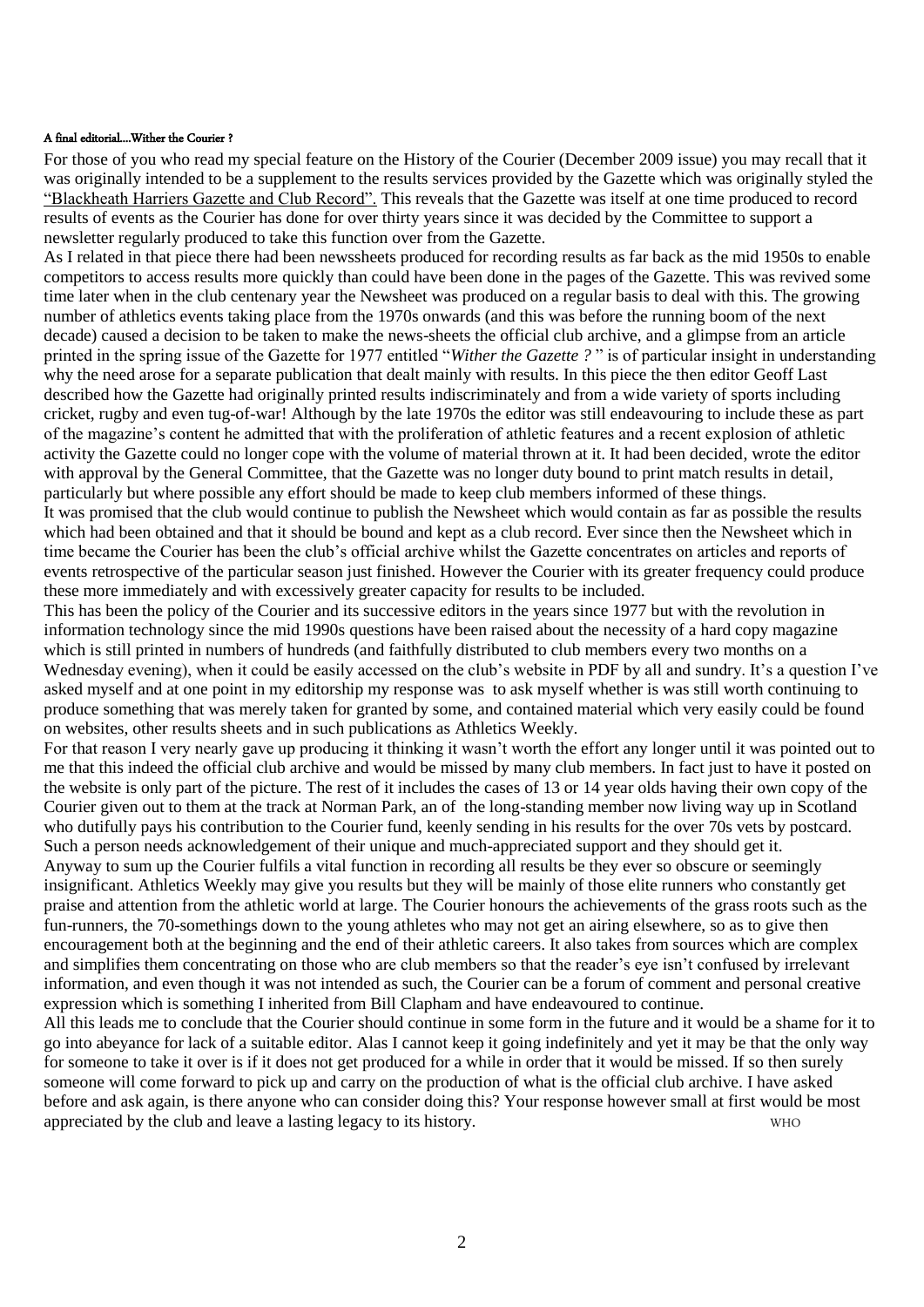#### A final editorial....Wither the Courier ?

For those of you who read my special feature on the History of the Courier (December 2009 issue) you may recall that it was originally intended to be a supplement to the results services provided by the Gazette which was originally styled the "Blackheath Harriers Gazette and Club Record". This reveals that the Gazette was itself at one time produced to record results of events as the Courier has done for over thirty years since it was decided by the Committee to support a newsletter regularly produced to take this function over from the Gazette.

As I related in that piece there had been newssheets produced for recording results as far back as the mid 1950s to enable competitors to access results more quickly than could have been done in the pages of the Gazette. This was revived some time later when in the club centenary year the Newsheet was produced on a regular basis to deal with this. The growing number of athletics events taking place from the 1970s onwards (and this was before the running boom of the next decade) caused a decision to be taken to make the news-sheets the official club archive, and a glimpse from an article printed in the spring issue of the Gazette for 1977 entitled "*Wither the Gazette ?* " is of particular insight in understanding why the need arose for a separate publication that dealt mainly with results. In this piece the then editor Geoff Last described how the Gazette had originally printed results indiscriminately and from a wide variety of sports including cricket, rugby and even tug-of-war! Although by the late 1970s the editor was still endeavouring to include these as part of the magazine"s content he admitted that with the proliferation of athletic features and a recent explosion of athletic activity the Gazette could no longer cope with the volume of material thrown at it. It had been decided, wrote the editor with approval by the General Committee, that the Gazette was no longer duty bound to print match results in detail, particularly but where possible any effort should be made to keep club members informed of these things.

It was promised that the club would continue to publish the Newsheet which would contain as far as possible the results which had been obtained and that it should be bound and kept as a club record. Ever since then the Newsheet which in time became the Courier has been the club"s official archive whilst the Gazette concentrates on articles and reports of events retrospective of the particular season just finished. However the Courier with its greater frequency could produce these more immediately and with excessively greater capacity for results to be included.

This has been the policy of the Courier and its successive editors in the years since 1977 but with the revolution in information technology since the mid 1990s questions have been raised about the necessity of a hard copy magazine which is still printed in numbers of hundreds (and faithfully distributed to club members every two months on a Wednesday evening), when it could be easily accessed on the club's website in PDF by all and sundry. It's a question I've asked myself and at one point in my editorship my response was to ask myself whether is was still worth continuing to produce something that was merely taken for granted by some, and contained material which very easily could be found on websites, other results sheets and in such publications as Athletics Weekly.

For that reason I very nearly gave up producing it thinking it wasn't worth the effort any longer until it was pointed out to me that this indeed the official club archive and would be missed by many club members. In fact just to have it posted on the website is only part of the picture. The rest of it includes the cases of 13 or 14 year olds having their own copy of the Courier given out to them at the track at Norman Park, an of the long-standing member now living way up in Scotland who dutifully pays his contribution to the Courier fund, keenly sending in his results for the over 70s vets by postcard. Such a person needs acknowledgement of their unique and much-appreciated support and they should get it. Anyway to sum up the Courier fulfils a vital function in recording all results be they ever so obscure or seemingly insignificant. Athletics Weekly may give you results but they will be mainly of those elite runners who constantly get praise and attention from the athletic world at large. The Courier honours the achievements of the grass roots such as the fun-runners, the 70-somethings down to the young athletes who may not get an airing elsewhere, so as to give then

encouragement both at the beginning and the end of their athletic careers. It also takes from sources which are complex and simplifies them concentrating on those who are club members so that the reader's eye isn't confused by irrelevant information, and even though it was not intended as such, the Courier can be a forum of comment and personal creative expression which is something I inherited from Bill Clapham and have endeavoured to continue.

All this leads me to conclude that the Courier should continue in some form in the future and it would be a shame for it to go into abeyance for lack of a suitable editor. Alas I cannot keep it going indefinitely and yet it may be that the only way for someone to take it over is if it does not get produced for a while in order that it would be missed. If so then surely someone will come forward to pick up and carry on the production of what is the official club archive. I have asked before and ask again, is there anyone who can consider doing this? Your response however small at first would be most appreciated by the club and leave a lasting legacy to its history. WHO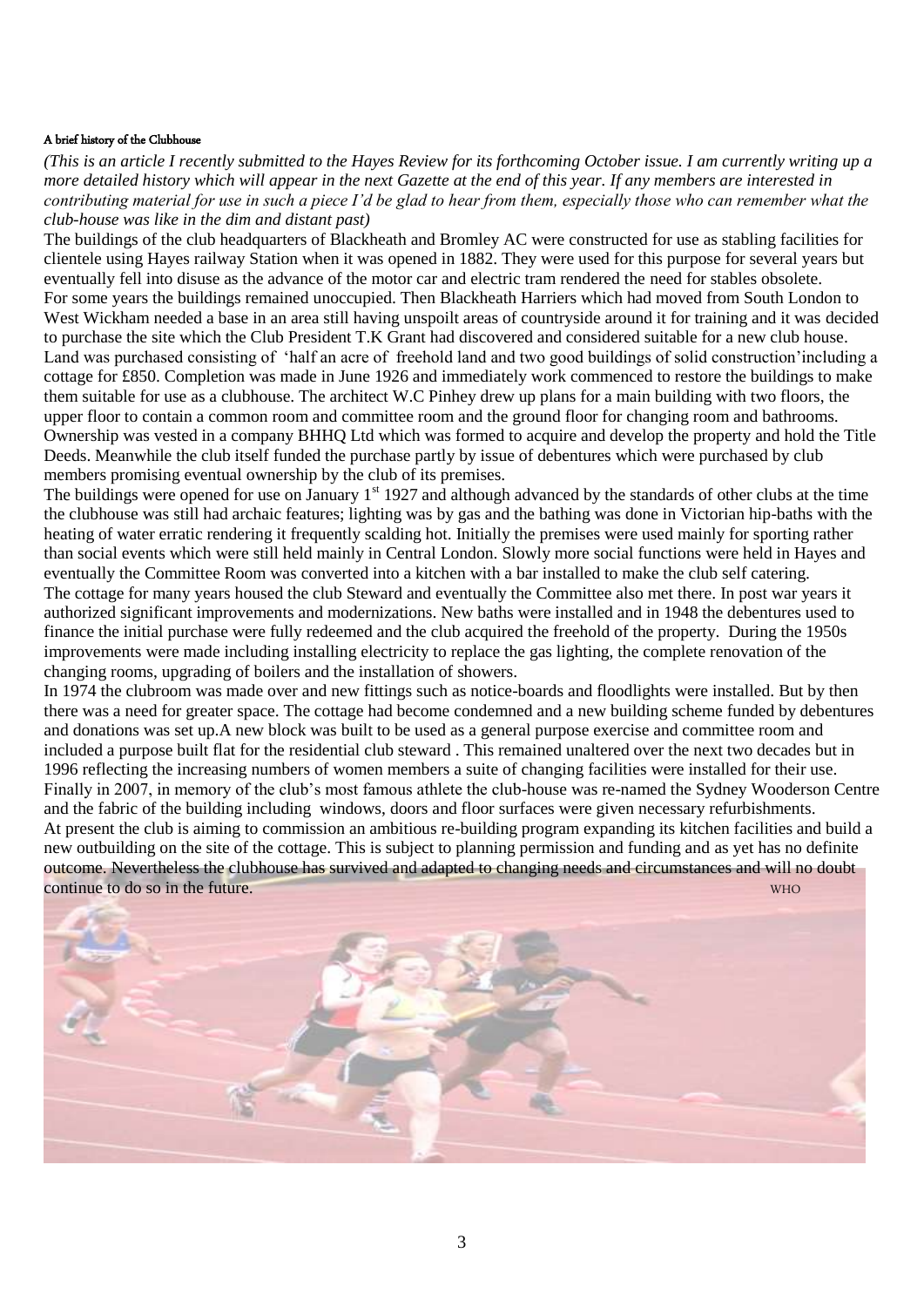#### A brief history of the Clubhouse

*(This is an article I recently submitted to the Hayes Review for its forthcoming October issue. I am currently writing up a more detailed history which will appear in the next Gazette at the end of this year. If any members are interested in contributing material for use in such a piece I'd be glad to hear from them, especially those who can remember what the club-house was like in the dim and distant past)* 

The buildings of the club headquarters of Blackheath and Bromley AC were constructed for use as stabling facilities for clientele using Hayes railway Station when it was opened in 1882. They were used for this purpose for several years but eventually fell into disuse as the advance of the motor car and electric tram rendered the need for stables obsolete. For some years the buildings remained unoccupied. Then Blackheath Harriers which had moved from South London to West Wickham needed a base in an area still having unspoilt areas of countryside around it for training and it was decided to purchase the site which the Club President T.K Grant had discovered and considered suitable for a new club house. Land was purchased consisting of 'half an acre of freehold land and two good buildings of solid construction'including a cottage for £850. Completion was made in June 1926 and immediately work commenced to restore the buildings to make them suitable for use as a clubhouse. The architect W.C Pinhey drew up plans for a main building with two floors, the upper floor to contain a common room and committee room and the ground floor for changing room and bathrooms. Ownership was vested in a company BHHQ Ltd which was formed to acquire and develop the property and hold the Title Deeds. Meanwhile the club itself funded the purchase partly by issue of debentures which were purchased by club members promising eventual ownership by the club of its premises.

The buildings were opened for use on January 1<sup>st</sup> 1927 and although advanced by the standards of other clubs at the time the clubhouse was still had archaic features; lighting was by gas and the bathing was done in Victorian hip-baths with the heating of water erratic rendering it frequently scalding hot. Initially the premises were used mainly for sporting rather than social events which were still held mainly in Central London. Slowly more social functions were held in Hayes and eventually the Committee Room was converted into a kitchen with a bar installed to make the club self catering. The cottage for many years housed the club Steward and eventually the Committee also met there. In post war years it authorized significant improvements and modernizations. New baths were installed and in 1948 the debentures used to finance the initial purchase were fully redeemed and the club acquired the freehold of the property. During the 1950s improvements were made including installing electricity to replace the gas lighting, the complete renovation of the changing rooms, upgrading of boilers and the installation of showers.

In 1974 the clubroom was made over and new fittings such as notice-boards and floodlights were installed. But by then there was a need for greater space. The cottage had become condemned and a new building scheme funded by debentures and donations was set up.A new block was built to be used as a general purpose exercise and committee room and included a purpose built flat for the residential club steward . This remained unaltered over the next two decades but in 1996 reflecting the increasing numbers of women members a suite of changing facilities were installed for their use. Finally in 2007, in memory of the club's most famous athlete the club-house was re-named the Sydney Wooderson Centre and the fabric of the building including windows, doors and floor surfaces were given necessary refurbishments. At present the club is aiming to commission an ambitious re-building program expanding its kitchen facilities and build a new outbuilding on the site of the cottage. This is subject to planning permission and funding and as yet has no definite outcome. Nevertheless the clubhouse has survived and adapted to changing needs and circumstances and will no doubt continue to do so in the future.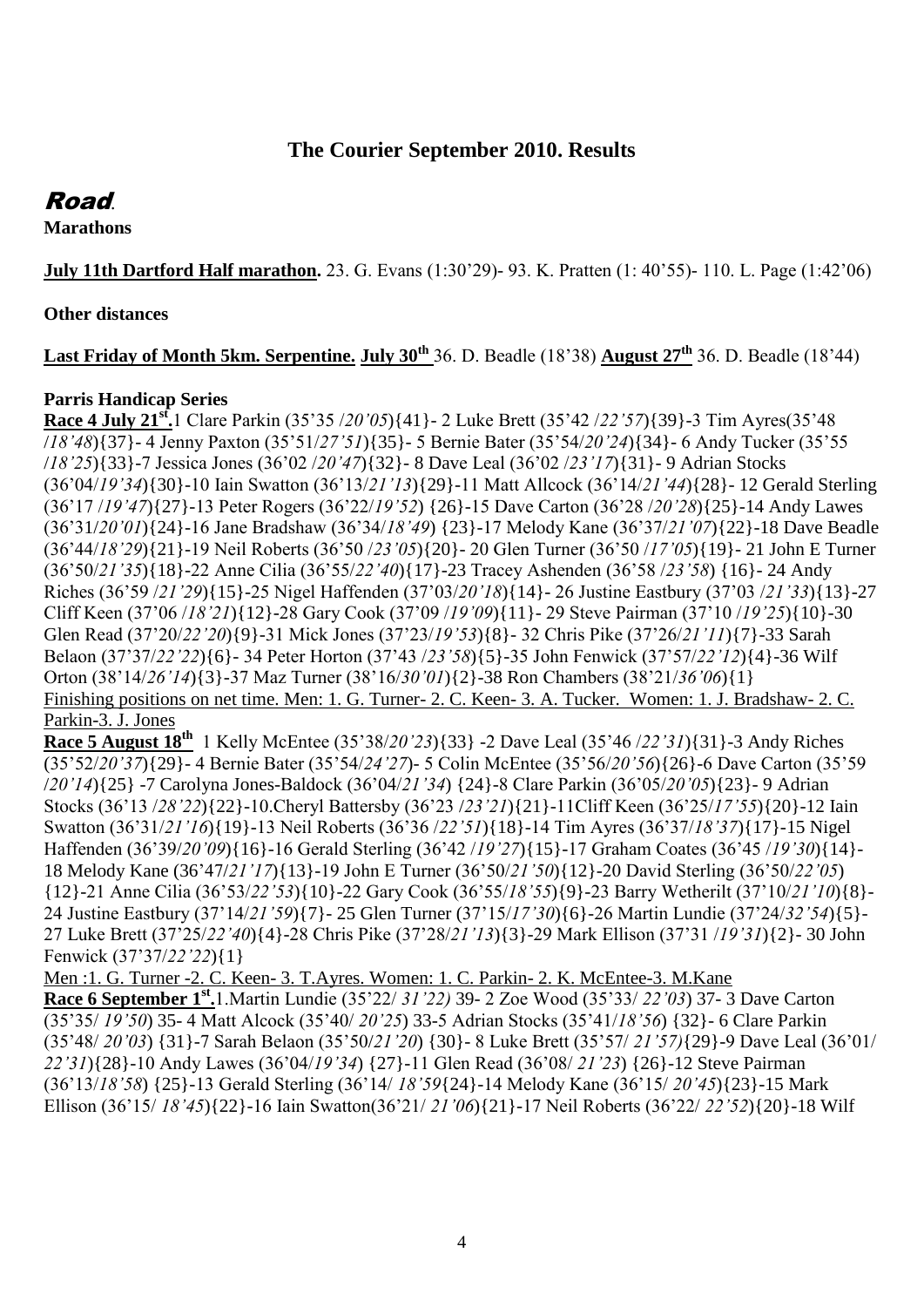# **The Courier September 2010. Results**

# Road.

**Marathons** 

**July 11th Dartford Half marathon.** 23. G. Evans (1:30"29)- 93. K. Pratten (1: 40"55)- 110. L. Page (1:42"06)

**Other distances**

**Last Friday of Month 5km. Serpentine. July 30th** 36. D. Beadle (18"38) **August 27th** 36. D. Beadle (18"44)

## **Parris Handicap Series**

**Race 4 July 21st .**1 Clare Parkin (35"35 /*20'05*){41}- 2 Luke Brett (35"42 /*22'57*){39}-3 Tim Ayres(35"48 /*18'48*){37}- 4 Jenny Paxton (35"51/*27'51*){35}- 5 Bernie Bater (35"54/*20'24*){34}- 6 Andy Tucker (35"55 /*18'25*){33}-7 Jessica Jones (36"02 /*20'47*){32}- 8 Dave Leal (36"02 /*23'17*){31}- 9 Adrian Stocks (36"04/*19'34*){30}-10 Iain Swatton (36"13/*21'13*){29}-11 Matt Allcock (36"14/*21'44*){28}- 12 Gerald Sterling (36"17 /*19'47*){27}-13 Peter Rogers (36"22/*19'52*) {26}-15 Dave Carton (36"28 /*20'28*){25}-14 Andy Lawes (36"31/*20'01*){24}-16 Jane Bradshaw (36"34/*18'49*) {23}-17 Melody Kane (36"37/*21'07*){22}-18 Dave Beadle (36"44/*18'29*){21}-19 Neil Roberts (36"50 /*23'05*){20}- 20 Glen Turner (36"50 /*17'05*){19}- 21 John E Turner (36"50/*21'35*){18}-22 Anne Cilia (36"55/*22'40*){17}-23 Tracey Ashenden (36"58 /*23'58*) {16}- 24 Andy Riches (36"59 /*21'29*){15}-25 Nigel Haffenden (37"03/*20'18*){14}- 26 Justine Eastbury (37"03 /*21'33*){13}-27 Cliff Keen (37"06 /*18'21*){12}-28 Gary Cook (37"09 /*19'09*){11}- 29 Steve Pairman (37"10 /*19'25*){10}-30 Glen Read (37"20/*22'20*){9}-31 Mick Jones (37"23/*19'53*){8}- 32 Chris Pike (37"26/*21'11*){7}-33 Sarah Belaon (37"37/*22'22*){6}- 34 Peter Horton (37"43 /*23'58*){5}-35 John Fenwick (37"57/*22'12*){4}-36 Wilf Orton (38"14/*26'14*){3}-37 Maz Turner (38"16/*30'01*){2}-38 Ron Chambers (38"21/*36'06*){1} Finishing positions on net time. Men: 1. G. Turner- 2. C. Keen- 3. A. Tucker. Women: 1. J. Bradshaw- 2. C. Parkin-3. J. Jones

**Race 5 August 18th** 1 Kelly McEntee (35"38/*20'23*){33} -2 Dave Leal (35"46 /*22'31*){31}-3 Andy Riches (35"52/*20'37*){29}- 4 Bernie Bater (35"54/*24'27*)- 5 Colin McEntee (35"56/*20'56*){26}-6 Dave Carton (35"59 /*20'14*){25} -7 Carolyna Jones-Baldock (36"04/*21'34*) {24}-8 Clare Parkin (36"05/*20'05*){23}- 9 Adrian Stocks (36"13 /*28'22*){22}-10.Cheryl Battersby (36"23 /*23'21*){21}-11Cliff Keen (36"25/*17'55*){20}-12 Iain Swatton (36"31/*21'16*){19}-13 Neil Roberts (36"36 /*22'51*){18}-14 Tim Ayres (36"37/*18'37*){17}-15 Nigel Haffenden (36"39/*20'09*){16}-16 Gerald Sterling (36"42 /*19'27*){15}-17 Graham Coates (36"45 /*19'30*){14}- 18 Melody Kane (36"47/*21'17*){13}-19 John E Turner (36"50/*21'50*){12}-20 David Sterling (36"50/*22'05*) {12}-21 Anne Cilia (36"53/*22'53*){10}-22 Gary Cook (36"55/*18'55*){9}-23 Barry Wetherilt (37"10/*21'10*){8}- 24 Justine Eastbury (37"14/*21'59*){7}- 25 Glen Turner (37"15/*17'30*){6}-26 Martin Lundie (37"24/*32'54*){5}- 27 Luke Brett (37"25/*22'40*){4}-28 Chris Pike (37"28/*21'13*){3}-29 Mark Ellison (37"31 /*19'31*){2}- 30 John Fenwick (37"37/*22'22*){1}

Men :1. G. Turner -2. C. Keen- 3. T.Ayres. Women: 1. C. Parkin- 2. K. McEntee-3. M.Kane **Race 6 September 1st .**1.Martin Lundie (35"22/ *31'22)* 39- 2 Zoe Wood (35"33/ *22'03*) 37- 3 Dave Carton (35"35/ *19'50*) 35- 4 Matt Alcock (35"40/ *20'25*) 33-5 Adrian Stocks (35"41/*18'56*) {32}- 6 Clare Parkin (35"48/ *20'03*) {31}-7 Sarah Belaon (35"50/*21'20*) {30}- 8 Luke Brett (35"57/ *21'57)*{29}-9 Dave Leal (36"01/ *22'31*){28}-10 Andy Lawes (36"04/*19'34*) {27}-11 Glen Read (36"08/ *21'23*) {26}-12 Steve Pairman (36"13/*18'58*) {25}-13 Gerald Sterling (36"14/ *18'59*{24}-14 Melody Kane (36"15/ *20'45*){23}-15 Mark Ellison (36"15/ *18'45*){22}-16 Iain Swatton(36"21/ *21'06*){21}-17 Neil Roberts (36"22/ *22'52*){20}-18 Wilf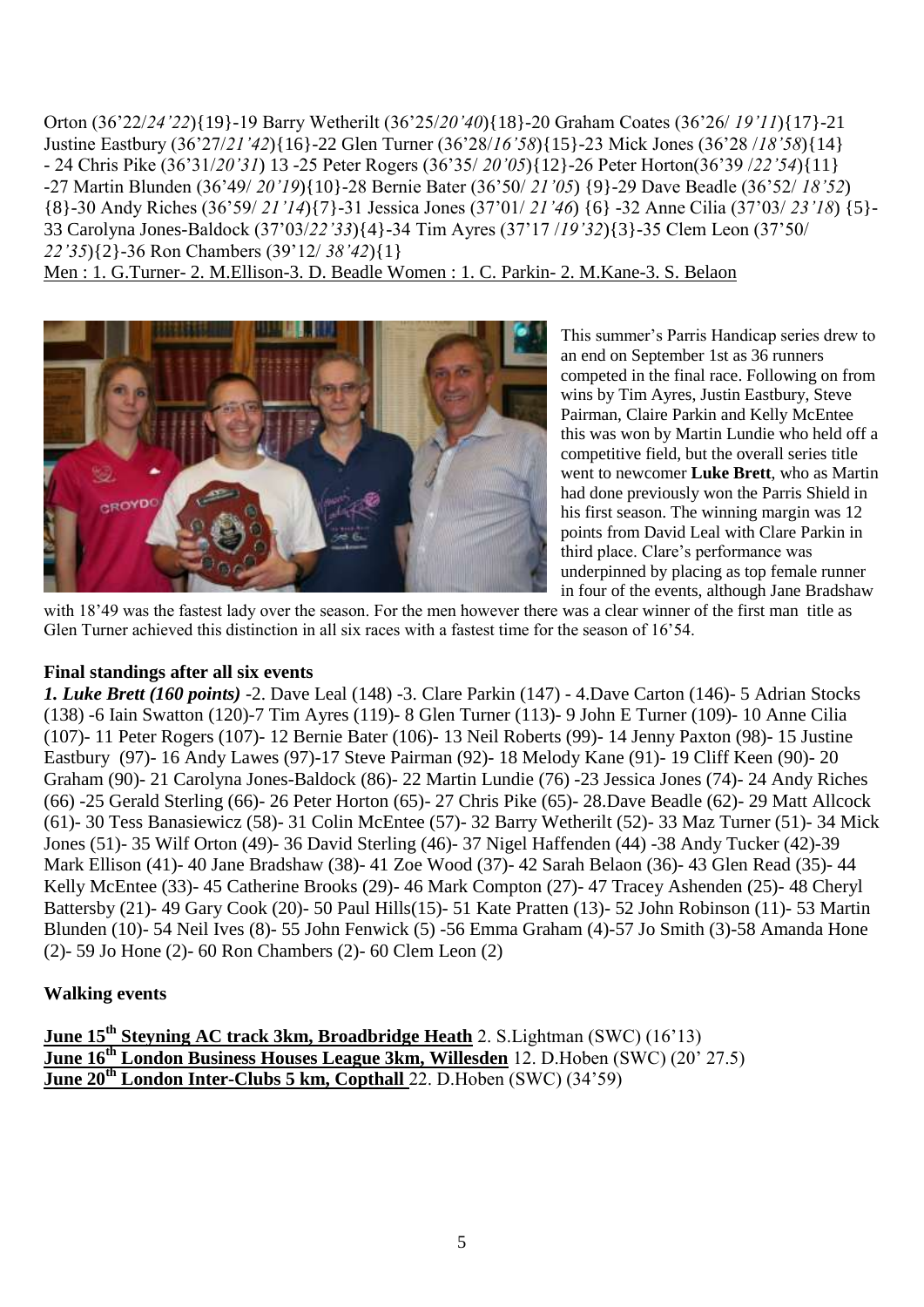Orton (36"22/*24'22*){19}-19 Barry Wetherilt (36"25/*20'40*){18}-20 Graham Coates (36"26/ *19'11*){17}-21 Justine Eastbury (36"27/*21'42*){16}-22 Glen Turner (36"28/*16'58*){15}-23 Mick Jones (36"28 /*18'58*){14} - 24 Chris Pike (36"31/*20'31*) 13 -25 Peter Rogers (36"35/ *20'05*){12}-26 Peter Horton(36"39 /*22'54*){11} -27 Martin Blunden (36"49/ *20'19*){10}-28 Bernie Bater (36"50/ *21'05*) {9}-29 Dave Beadle (36"52/ *18'52*) {8}-30 Andy Riches (36"59/ *21'14*){7}-31 Jessica Jones (37"01/ *21'46*) {6} -32 Anne Cilia (37"03/ *23'18*) {5}- 33 Carolyna Jones-Baldock (37"03/*22'33*){4}-34 Tim Ayres (37"17 /*19'32*){3}-35 Clem Leon (37"50/ *22'35*){2}-36 Ron Chambers (39"12/ *38'42*){1}

Men : 1. G.Turner- 2. M.Ellison-3. D. Beadle Women : 1. C. Parkin- 2. M.Kane-3. S. Belaon



This summer"s Parris Handicap series drew to an end on September 1st as 36 runners competed in the final race. Following on from wins by Tim Ayres, Justin Eastbury, Steve Pairman, Claire Parkin and Kelly McEntee this was won by Martin Lundie who held off a competitive field, but the overall series title went to newcomer **Luke Brett**, who as Martin had done previously won the Parris Shield in his first season. The winning margin was 12 points from David Leal with Clare Parkin in third place. Clare"s performance was underpinned by placing as top female runner in four of the events, although Jane Bradshaw

with 18'49 was the fastest lady over the season. For the men however there was a clear winner of the first man title as Glen Turner achieved this distinction in all six races with a fastest time for the season of 16'54.

#### **Final standings after all six events**

*1. Luke Brett (160 points)* -2. Dave Leal (148) -3. Clare Parkin (147) - 4.Dave Carton (146)- 5 Adrian Stocks (138) -6 Iain Swatton (120)-7 Tim Ayres (119)- 8 Glen Turner (113)- 9 John E Turner (109)- 10 Anne Cilia (107)- 11 Peter Rogers (107)- 12 Bernie Bater (106)- 13 Neil Roberts (99)- 14 Jenny Paxton (98)- 15 Justine Eastbury (97)- 16 Andy Lawes (97)-17 Steve Pairman (92)- 18 Melody Kane (91)- 19 Cliff Keen (90)- 20 Graham (90)- 21 Carolyna Jones-Baldock (86)- 22 Martin Lundie (76) -23 Jessica Jones (74)- 24 Andy Riches (66) -25 Gerald Sterling (66)- 26 Peter Horton (65)- 27 Chris Pike (65)- 28.Dave Beadle (62)- 29 Matt Allcock (61)- 30 Tess Banasiewicz (58)- 31 Colin McEntee (57)- 32 Barry Wetherilt (52)- 33 Maz Turner (51)- 34 Mick Jones (51)- 35 Wilf Orton (49)- 36 David Sterling (46)- 37 Nigel Haffenden (44) -38 Andy Tucker (42)-39 Mark Ellison (41)- 40 Jane Bradshaw (38)- 41 Zoe Wood (37)- 42 Sarah Belaon (36)- 43 Glen Read (35)- 44 Kelly McEntee (33)- 45 Catherine Brooks (29)- 46 Mark Compton (27)- 47 Tracey Ashenden (25)- 48 Cheryl Battersby (21)- 49 Gary Cook (20)- 50 Paul Hills(15)- 51 Kate Pratten (13)- 52 John Robinson (11)- 53 Martin Blunden (10)- 54 Neil Ives (8)- 55 John Fenwick (5) -56 Emma Graham (4)-57 Jo Smith (3)-58 Amanda Hone (2)- 59 Jo Hone (2)- 60 Ron Chambers (2)- 60 Clem Leon (2)

#### **Walking events**

**June 15th Steyning AC track 3km, Broadbridge Heath** 2. S.Lightman (SWC) (16"13) June 16<sup>th</sup> London Business Houses League 3km, Willesden 12. D.Hoben (SWC) (20<sup>°</sup> 27.5) **June 20th London Inter-Clubs 5 km, Copthall** 22. D.Hoben (SWC) (34"59)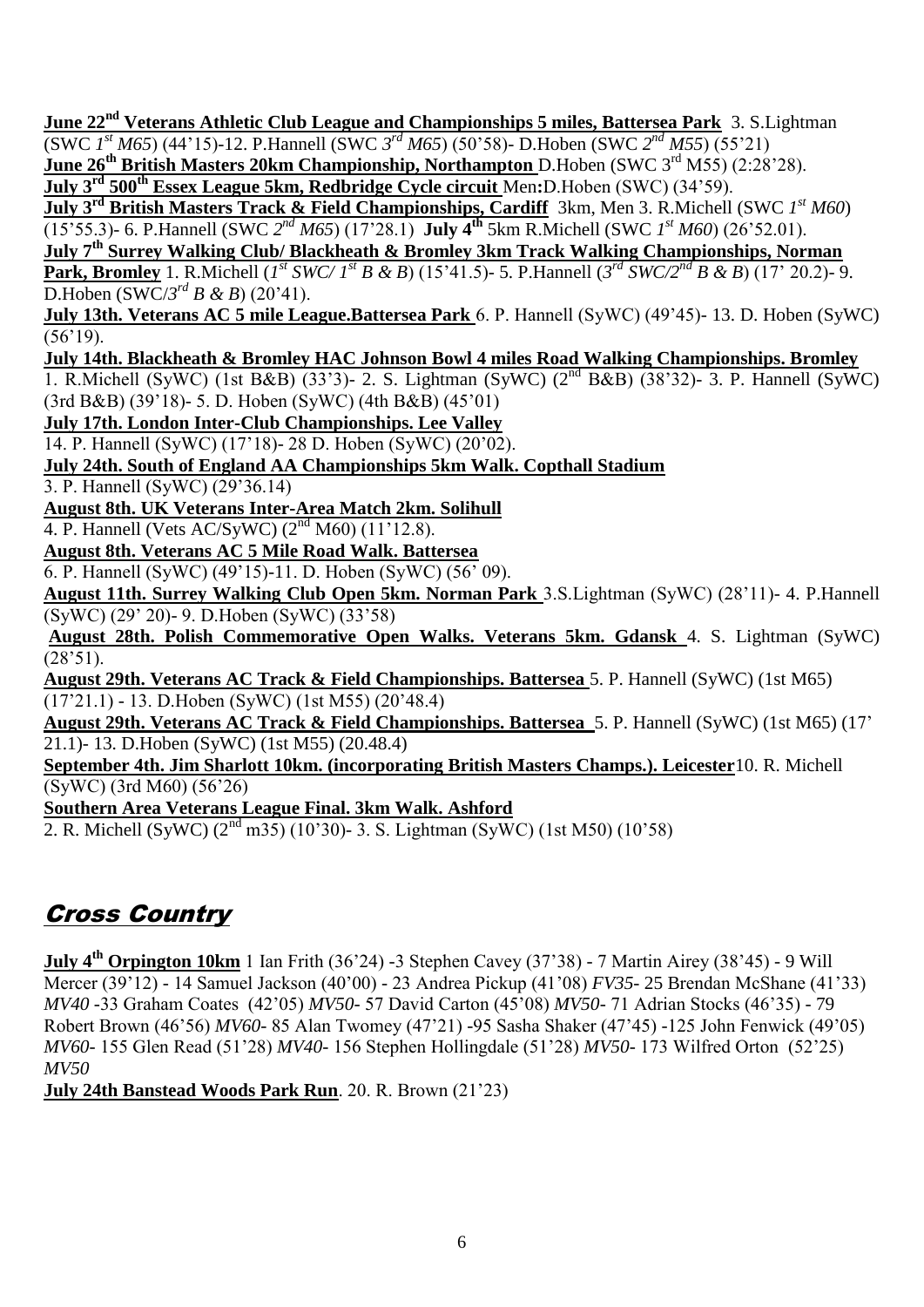**June 22nd Veterans Athletic Club League and Championships 5 miles, Battersea Park** 3. S.Lightman (SWC *1 st M65*) (44"15)-12. P.Hannell (SWC *3 rd M65*) (50"58)- D.Hoben (SWC *2 nd M55*) (55"21)

**June 26th British Masters 20km Championship, Northampton** D.Hoben (SWC 3rd M55) (2:28"28).

**July 3rd 500th Essex League 5km, Redbridge Cycle circuit** Men**:**D.Hoben (SWC) (34"59).

**July 3rd British Masters Track & Field Championships, Cardiff** 3km, Men 3. R.Michell (SWC *1 st M60*)

(15'55.3)- 6. P.Hannell (SWC  $2^{nd} M65$ ) (17'28.1) **July 4<sup>th</sup>** 5km R.Michell (SWC  $1^{st} M60$ ) (26'52.01).

**July 7th Surrey Walking Club/ Blackheath & Bromley 3km Track Walking Championships, Norman Park, Bromley** 1. R.Michell (*I*<sup>st</sup> *SWC/ I*<sup>st</sup> *B & B*) (15'41.5)- 5. P.Hannell (3<sup>rd</sup> *SWC/2<sup>nd</sup> B & B*) (17' 20.2)- 9.

 $D.Hoben (SWC/3^{rd} B & B) (20'41).$ 

**July 13th. Veterans AC 5 mile League.Battersea Park** 6. P. Hannell (SyWC) (49"45)- 13. D. Hoben (SyWC)  $(56'19)$ .

# **July 14th. Blackheath & Bromley HAC Johnson Bowl 4 miles Road Walking Championships. Bromley**

1. R.Michell (SyWC) (1st B&B) (33'3)- 2. S. Lightman (SyWC) ( $2<sup>nd</sup>$  B&B) (38'32)- 3. P. Hannell (SyWC) (3rd B&B) (39"18)- 5. D. Hoben (SyWC) (4th B&B) (45"01)

**July 17th. London Inter-Club Championships. Lee Valley**

14. P. Hannell (SyWC) (17"18)- 28 D. Hoben (SyWC) (20"02).

**July 24th. South of England AA Championships 5km Walk. Copthall Stadium**

3. P. Hannell (SyWC) (29"36.14)

**August 8th. UK Veterans Inter-Area Match 2km. Solihull**

4. P. Hannell (Vets AC/SyWC) (2nd M60) (11"12.8).

**August 8th. Veterans AC 5 Mile Road Walk. Battersea**

6. P. Hannell (SyWC) (49"15)-11. D. Hoben (SyWC) (56" 09).

**August 11th. Surrey Walking Club Open 5km. Norman Park** 3.S.Lightman (SyWC) (28"11)- 4. P.Hannell (SyWC) (29" 20)- 9. D.Hoben (SyWC) (33"58)

**August 28th. Polish Commemorative Open Walks. Veterans 5km. Gdansk** 4. S. Lightman (SyWC)  $(28'51)$ .

**August 29th. Veterans AC Track & Field Championships. Battersea** 5. P. Hannell (SyWC) (1st M65) (17"21.1) - 13. D.Hoben (SyWC) (1st M55) (20"48.4)

**August 29th. Veterans AC Track & Field Championships. Battersea** 5. P. Hannell (SyWC) (1st M65) (17" 21.1)- 13. D.Hoben (SyWC) (1st M55) (20.48.4)

**September 4th. Jim Sharlott 10km. (incorporating British Masters Champs.). Leicester**10. R. Michell (SyWC) (3rd M60) (56"26)

**Southern Area Veterans League Final. 3km Walk. Ashford**

2. R. Michell (SyWC)  $(2^{nd}$  m35)  $(10'30)$ - 3. S. Lightman (SyWC)  $(1st M50)$   $(10'58)$ 

# Cross Country

**July 4th Orpington 10km** 1 Ian Frith (36"24) -3 Stephen Cavey (37"38) - 7 Martin Airey (38"45) - 9 Will Mercer (39"12) - 14 Samuel Jackson (40"00) - 23 Andrea Pickup (41"08) *FV35*- 25 Brendan McShane (41"33) *MV40* -33 Graham Coates (42"05) *MV50*- 57 David Carton (45"08) *MV50*- 71 Adrian Stocks (46"35) - 79 Robert Brown (46"56) *MV60*- 85 Alan Twomey (47"21) -95 Sasha Shaker (47"45) -125 John Fenwick (49"05) *MV60*- 155 Glen Read (51"28) *MV40*- 156 Stephen Hollingdale (51"28) *MV50*- 173 Wilfred Orton (52"25) *MV50*

**July 24th Banstead Woods Park Run**. 20. R. Brown (21"23)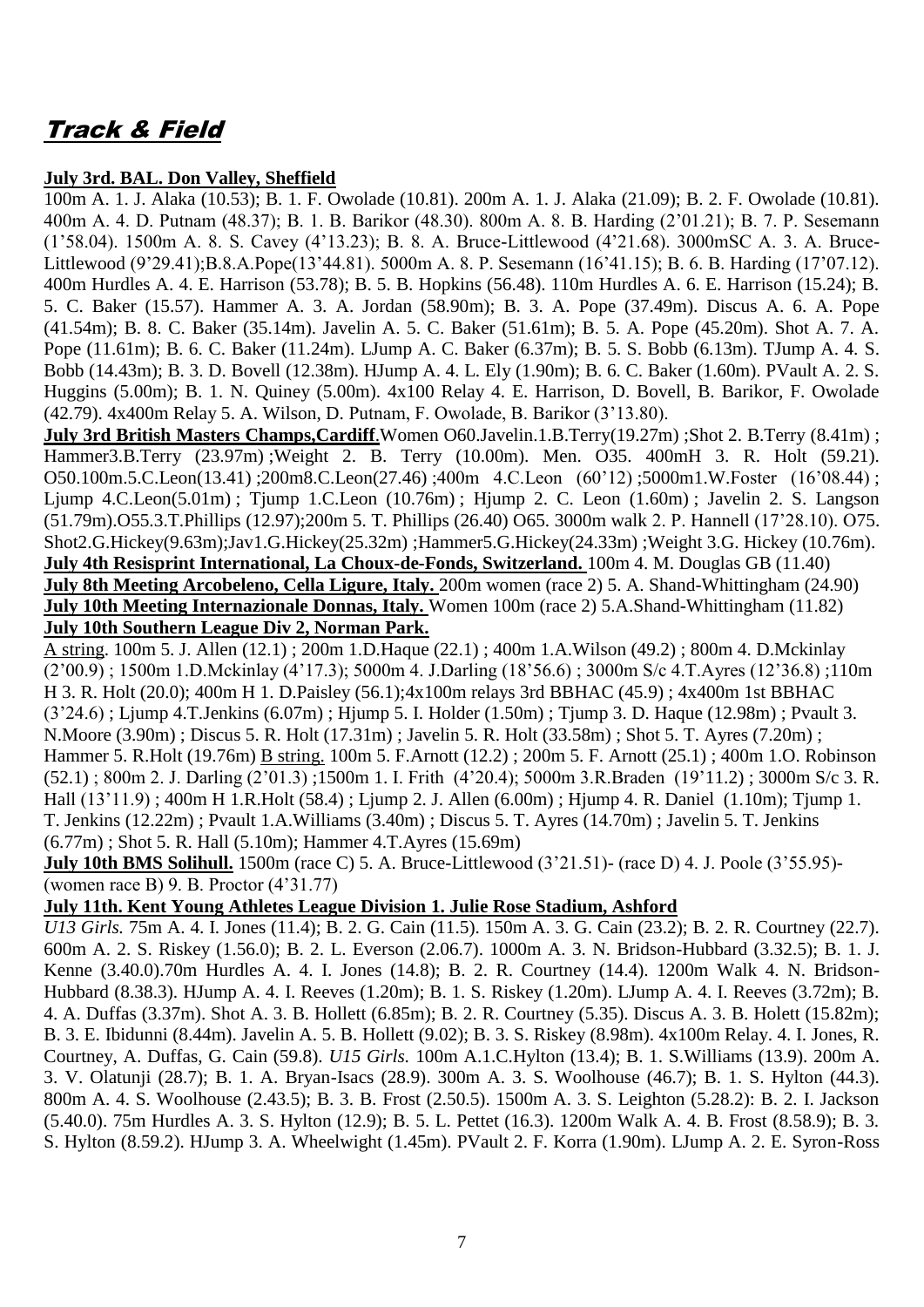# Track & Field

#### **July 3rd. BAL. Don Valley, Sheffield**

100m A. 1. J. Alaka (10.53); B. 1. F. Owolade (10.81). 200m A. 1. J. Alaka (21.09); B. 2. F. Owolade (10.81). 400m A. 4. D. Putnam (48.37); B. 1. B. Barikor (48.30). 800m A. 8. B. Harding (2"01.21); B. 7. P. Sesemann (1"58.04). 1500m A. 8. S. Cavey (4"13.23); B. 8. A. Bruce-Littlewood (4"21.68). 3000mSC A. 3. A. Bruce-Littlewood (9"29.41);B.8.A.Pope(13"44.81). 5000m A. 8. P. Sesemann (16"41.15); B. 6. B. Harding (17"07.12). 400m Hurdles A. 4. E. Harrison (53.78); B. 5. B. Hopkins (56.48). 110m Hurdles A. 6. E. Harrison (15.24); B. 5. C. Baker (15.57). Hammer A. 3. A. Jordan (58.90m); B. 3. A. Pope (37.49m). Discus A. 6. A. Pope (41.54m); B. 8. C. Baker (35.14m). Javelin A. 5. C. Baker (51.61m); B. 5. A. Pope (45.20m). Shot A. 7. A. Pope (11.61m); B. 6. C. Baker (11.24m). LJump A. C. Baker (6.37m); B. 5. S. Bobb (6.13m). TJump A. 4. S. Bobb (14.43m); B. 3. D. Bovell (12.38m). HJump A. 4. L. Ely (1.90m); B. 6. C. Baker (1.60m). PVault A. 2. S. Huggins (5.00m); B. 1. N. Quiney (5.00m). 4x100 Relay 4. E. Harrison, D. Bovell, B. Barikor, F. Owolade (42.79). 4x400m Relay 5. A. Wilson, D. Putnam, F. Owolade, B. Barikor (3"13.80).

**July 3rd British Masters Champs,Cardiff**.Women O60.Javelin.1.B.Terry(19.27m) ;Shot 2. B.Terry (8.41m) ; Hammer3.B.Terry (23.97m) ;Weight 2. B. Terry (10.00m). Men. O35. 400mH 3. R. Holt (59.21). O50.100m.5.C.Leon(13.41) ;200m8.C.Leon(27.46) ;400m 4.C.Leon (60"12) ;5000m1.W.Foster (16"08.44) ; Ljump 4.C.Leon(5.01m) ; Tjump 1.C.Leon (10.76m) ; Hjump 2. C. Leon (1.60m) ; Javelin 2. S. Langson (51.79m).O55.3.T.Phillips (12.97);200m 5. T. Phillips (26.40) O65. 3000m walk 2. P. Hannell (17"28.10). O75. Shot2.G.Hickey(9.63m);Jav1.G.Hickey(25.32m) ;Hammer5.G.Hickey(24.33m) ;Weight 3.G. Hickey (10.76m). **July 4th Resisprint International, La Choux-de-Fonds, Switzerland.** 100m 4. M. Douglas GB (11.40) **July 8th Meeting Arcobeleno, Cella Ligure, Italy.** 200m women (race 2) 5. A. Shand-Whittingham (24.90) **July 10th Meeting Internazionale Donnas, Italy.** Women 100m (race 2) 5.A.Shand-Whittingham (11.82) **July 10th Southern League Div 2, Norman Park.** 

A string. 100m 5. J. Allen (12.1) ; 200m 1.D.Haque (22.1) ; 400m 1.A.Wilson (49.2) ; 800m 4. D.Mckinlay (2"00.9) ; 1500m 1.D.Mckinlay (4"17.3); 5000m 4. J.Darling (18"56.6) ; 3000m S/c 4.T.Ayres (12"36.8) ;110m H 3. R. Holt (20.0); 400m H 1. D.Paisley (56.1);4x100m relays 3rd BBHAC (45.9) ; 4x400m 1st BBHAC (3"24.6) ; Ljump 4.T.Jenkins (6.07m) ; Hjump 5. I. Holder (1.50m) ; Tjump 3. D. Haque (12.98m) ; Pvault 3. N.Moore (3.90m) ; Discus 5. R. Holt (17.31m) ; Javelin 5. R. Holt (33.58m) ; Shot 5. T. Ayres (7.20m) ; Hammer 5. R.Holt (19.76m) B string. 100m 5. F.Arnott (12.2) ; 200m 5. F. Arnott (25.1) ; 400m 1.O. Robinson (52.1) ; 800m 2. J. Darling (2"01.3) ;1500m 1. I. Frith (4"20.4); 5000m 3.R.Braden (19"11.2) ; 3000m S/c 3. R. Hall (13"11.9) ; 400m H 1.R.Holt (58.4) ; Ljump 2. J. Allen (6.00m) ; Hjump 4. R. Daniel (1.10m); Tjump 1. T. Jenkins (12.22m) ; Pvault 1.A.Williams (3.40m) ; Discus 5. T. Ayres (14.70m) ; Javelin 5. T. Jenkins (6.77m) ; Shot 5. R. Hall (5.10m); Hammer 4.T.Ayres (15.69m)

**July 10th BMS Solihull.** 1500m (race C) 5. A. Bruce-Littlewood (3'21.51)- (race D) 4. J. Poole (3'55.95)-(women race B) 9. B. Proctor (4"31.77)

#### **July 11th. Kent Young Athletes League Division 1. Julie Rose Stadium, Ashford**

*U13 Girls.* 75m A. 4. I. Jones (11.4); B. 2. G. Cain (11.5). 150m A. 3. G. Cain (23.2); B. 2. R. Courtney (22.7). 600m A. 2. S. Riskey (1.56.0); B. 2. L. Everson (2.06.7). 1000m A. 3. N. Bridson-Hubbard (3.32.5); B. 1. J. Kenne (3.40.0).70m Hurdles A. 4. I. Jones (14.8); B. 2. R. Courtney (14.4). 1200m Walk 4. N. Bridson-Hubbard (8.38.3). HJump A. 4. I. Reeves (1.20m); B. 1. S. Riskey (1.20m). LJump A. 4. I. Reeves (3.72m); B. 4. A. Duffas (3.37m). Shot A. 3. B. Hollett (6.85m); B. 2. R. Courtney (5.35). Discus A. 3. B. Holett (15.82m); B. 3. E. Ibidunni (8.44m). Javelin A. 5. B. Hollett (9.02); B. 3. S. Riskey (8.98m). 4x100m Relay. 4. I. Jones, R. Courtney, A. Duffas, G. Cain (59.8). *U15 Girls.* 100m A.1.C.Hylton (13.4); B. 1. S.Williams (13.9). 200m A. 3. V. Olatunji (28.7); B. 1. A. Bryan-Isacs (28.9). 300m A. 3. S. Woolhouse (46.7); B. 1. S. Hylton (44.3). 800m A. 4. S. Woolhouse (2.43.5); B. 3. B. Frost (2.50.5). 1500m A. 3. S. Leighton (5.28.2): B. 2. I. Jackson (5.40.0). 75m Hurdles A. 3. S. Hylton (12.9); B. 5. L. Pettet (16.3). 1200m Walk A. 4. B. Frost (8.58.9); B. 3. S. Hylton (8.59.2). HJump 3. A. Wheelwight (1.45m). PVault 2. F. Korra (1.90m). LJump A. 2. E. Syron-Ross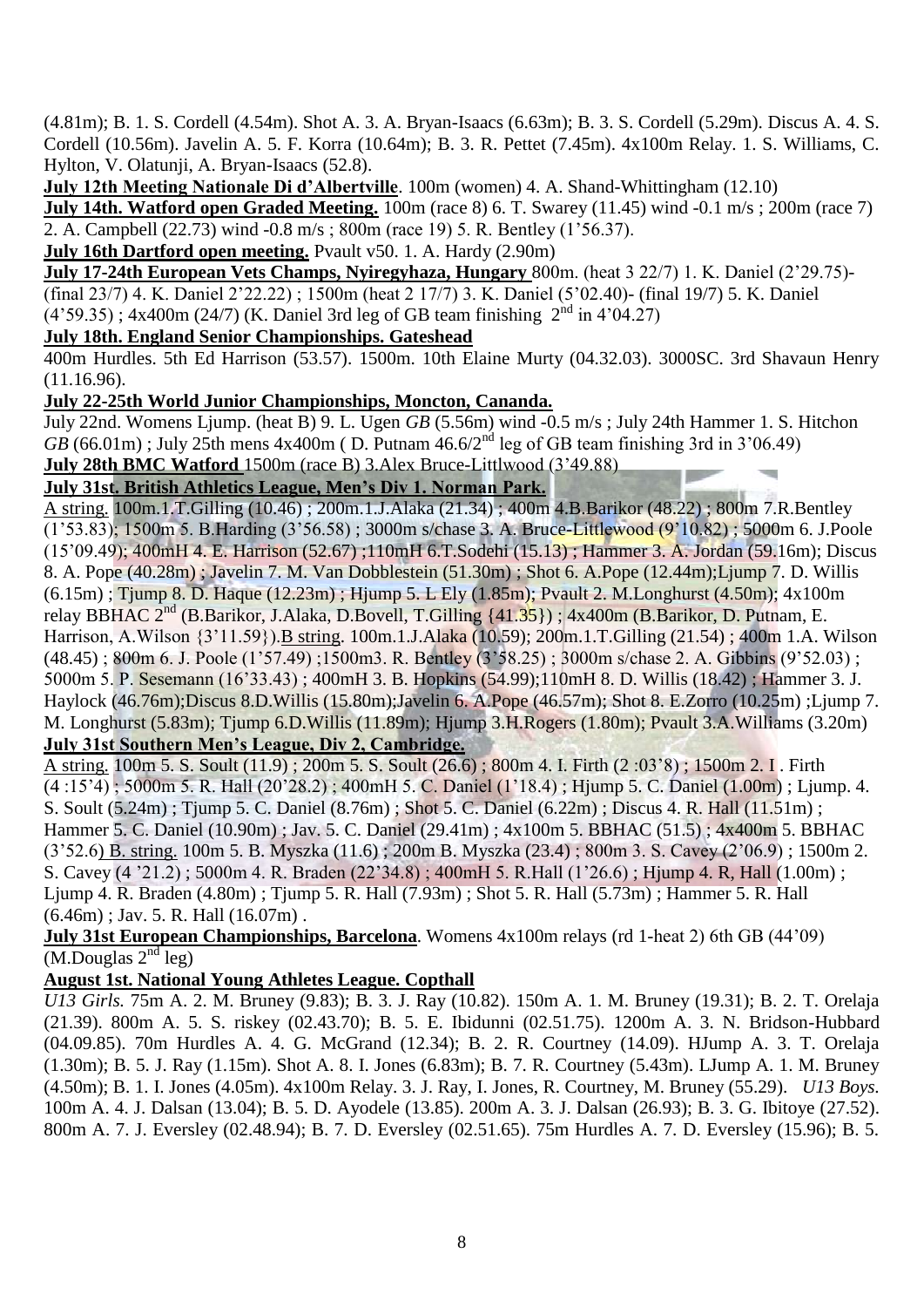(4.81m); B. 1. S. Cordell (4.54m). Shot A. 3. A. Bryan-Isaacs (6.63m); B. 3. S. Cordell (5.29m). Discus A. 4. S. Cordell (10.56m). Javelin A. 5. F. Korra (10.64m); B. 3. R. Pettet (7.45m). 4x100m Relay. 1. S. Williams, C. Hylton, V. Olatunji, A. Bryan-Isaacs (52.8).

**July 12th Meeting Nationale Di d'Albertville**. 100m (women) 4. A. Shand-Whittingham (12.10)

**July 14th. Watford open Graded Meeting.** 100m (race 8) 6. T. Swarey (11.45) wind -0.1 m/s; 200m (race 7) 2. A. Campbell (22.73) wind -0.8 m/s ; 800m (race 19) 5. R. Bentley (1"56.37).

**July 16th Dartford open meeting.** Pvault v50. 1. A. Hardy (2.90m)

**July 17-24th European Vets Champs, Nyiregyhaza, Hungary** 800m. (heat 3 22/7) 1. K. Daniel (2"29.75)- (final 23/7) 4. K. Daniel 2"22.22) ; 1500m (heat 2 17/7) 3. K. Daniel (5"02.40)- (final 19/7) 5. K. Daniel

 $(4'59.35)$ ; 4x400m (24/7) (K. Daniel 3rd leg of GB team finishing  $2<sup>nd</sup>$  in 4'04.27)

#### **July 18th. England Senior Championships. Gateshead**

400m Hurdles. 5th Ed Harrison (53.57). 1500m. 10th Elaine Murty (04.32.03). 3000SC. 3rd Shavaun Henry (11.16.96).

#### **July 22-25th World Junior Championships, Moncton, Cananda.**

July 22nd. Womens Ljump. (heat B) 9. L. Ugen *GB* (5.56m) wind -0.5 m/s ; July 24th Hammer 1. S. Hitchon  $GB$  (66.01m); July 25th mens 4x400m (D. Putnam  $46.6/2<sup>nd</sup>$  leg of GB team finishing 3rd in 3'06.49) **July 28th BMC Watford** 1500m (race B) 3.Alex Bruce-Littlwood (3"49.88)

#### **July 31st. British Athletics League, Men's Div 1. Norman Park.**

A string. 100m.1.T.Gilling (10.46) ; 200m.1.J.Alaka (21.34) ; 400m 4.B.Barikor (48.22) ; 800m 7.R.Bentley (1"53.83); 1500m 5. B.Harding (3"56.58) ; 3000m s/chase 3. A. Bruce-Littlewood (9"10.82) ; 5000m 6. J.Poole (15"09.49); 400mH 4. E. Harrison (52.67) ;110mH 6.T.Sodehi (15.13) ; Hammer 3. A. Jordan (59.16m); Discus 8. A. Pope (40.28m) ; Javelin 7. M. Van Dobblestein (51.30m) ; Shot 6. A.Pope (12.44m);Ljump 7. D. Willis (6.15m) ; Tjump 8. D. Haque (12.23m) ; Hjump 5. L Ely (1.85m); Pvault 2. M.Longhurst (4.50m); 4x100m relay BBHAC 2nd (B.Barikor, J.Alaka, D.Bovell, T.Gilling {41.35}) ; 4x400m (B.Barikor, D. Putnam, E. Harrison, A.Wilson {3"11.59}).B string. 100m.1.J.Alaka (10.59); 200m.1.T.Gilling (21.54) ; 400m 1.A. Wilson (48.45) ; 800m 6. J. Poole (1"57.49) ;1500m3. R. Bentley (3"58.25) ; 3000m s/chase 2. A. Gibbins (9"52.03) ; 5000m 5. P. Sesemann (16"33.43) ; 400mH 3. B. Hopkins (54.99);110mH 8. D. Willis (18.42) ; Hammer 3. J. Haylock (46.76m);Discus 8.D.Willis (15.80m);Javelin 6. A.Pope (46.57m); Shot 8. E.Zorro (10.25m) ;Ljump 7. M. Longhurst (5.83m); Tjump 6.D.Willis (11.89m); Hjump 3.H.Rogers (1.80m); Pvault 3.A.Williams (3.20m) **July 31st Southern Men's League, Div 2, Cambridge.**

A string. 100m 5. S. Soult (11.9) ; 200m 5. S. Soult (26.6) ; 800m 4. I. Firth (2 :03"8) ; 1500m 2. I . Firth (4 :15"4) ; 5000m 5. R. Hall (20"28.2) ; 400mH 5. C. Daniel (1"18.4) ; Hjump 5. C. Daniel (1.00m) ; Ljump. 4. S. Soult (5.24m) ; Tjump 5. C. Daniel (8.76m) ; Shot 5. C. Daniel (6.22m) ; Discus 4. R. Hall (11.51m) ; Hammer 5. C. Daniel (10.90m) ; Jav. 5. C. Daniel (29.41m) ; 4x100m 5. BBHAC (51.5) ; 4x400m 5. BBHAC (3"52.6) B. string. 100m 5. B. Myszka (11.6) ; 200m B. Myszka (23.4) ; 800m 3. S. Cavey (2"06.9) ; 1500m 2. S. Cavey (4 "21.2) ; 5000m 4. R. Braden (22"34.8) ; 400mH 5. R.Hall (1"26.6) ; Hjump 4. R, Hall (1.00m) ; Ljump 4. R. Braden (4.80m) ; Tjump 5. R. Hall (7.93m) ; Shot 5. R. Hall (5.73m) ; Hammer 5. R. Hall  $(6.46m)$ ; Jav. 5. R. Hall  $(16.07m)$ .

#### **July 31st European Championships, Barcelona**. Womens 4x100m relays (rd 1-heat 2) 6th GB (44"09)  $(M.Douglas 2<sup>nd</sup> leg)$

## **August 1st. National Young Athletes League. Copthall**

*U13 Girls.* 75m A. 2. M. Bruney (9.83); B. 3. J. Ray (10.82). 150m A. 1. M. Bruney (19.31); B. 2. T. Orelaja (21.39). 800m A. 5. S. riskey (02.43.70); B. 5. E. Ibidunni (02.51.75). 1200m A. 3. N. Bridson-Hubbard (04.09.85). 70m Hurdles A. 4. G. McGrand (12.34); B. 2. R. Courtney (14.09). HJump A. 3. T. Orelaja (1.30m); B. 5. J. Ray (1.15m). Shot A. 8. I. Jones (6.83m); B. 7. R. Courtney (5.43m). LJump A. 1. M. Bruney (4.50m); B. 1. I. Jones (4.05m). 4x100m Relay. 3. J. Ray, I. Jones, R. Courtney, M. Bruney (55.29). *U13 Boys.* 100m A. 4. J. Dalsan (13.04); B. 5. D. Ayodele (13.85). 200m A. 3. J. Dalsan (26.93); B. 3. G. Ibitoye (27.52). 800m A. 7. J. Eversley (02.48.94); B. 7. D. Eversley (02.51.65). 75m Hurdles A. 7. D. Eversley (15.96); B. 5.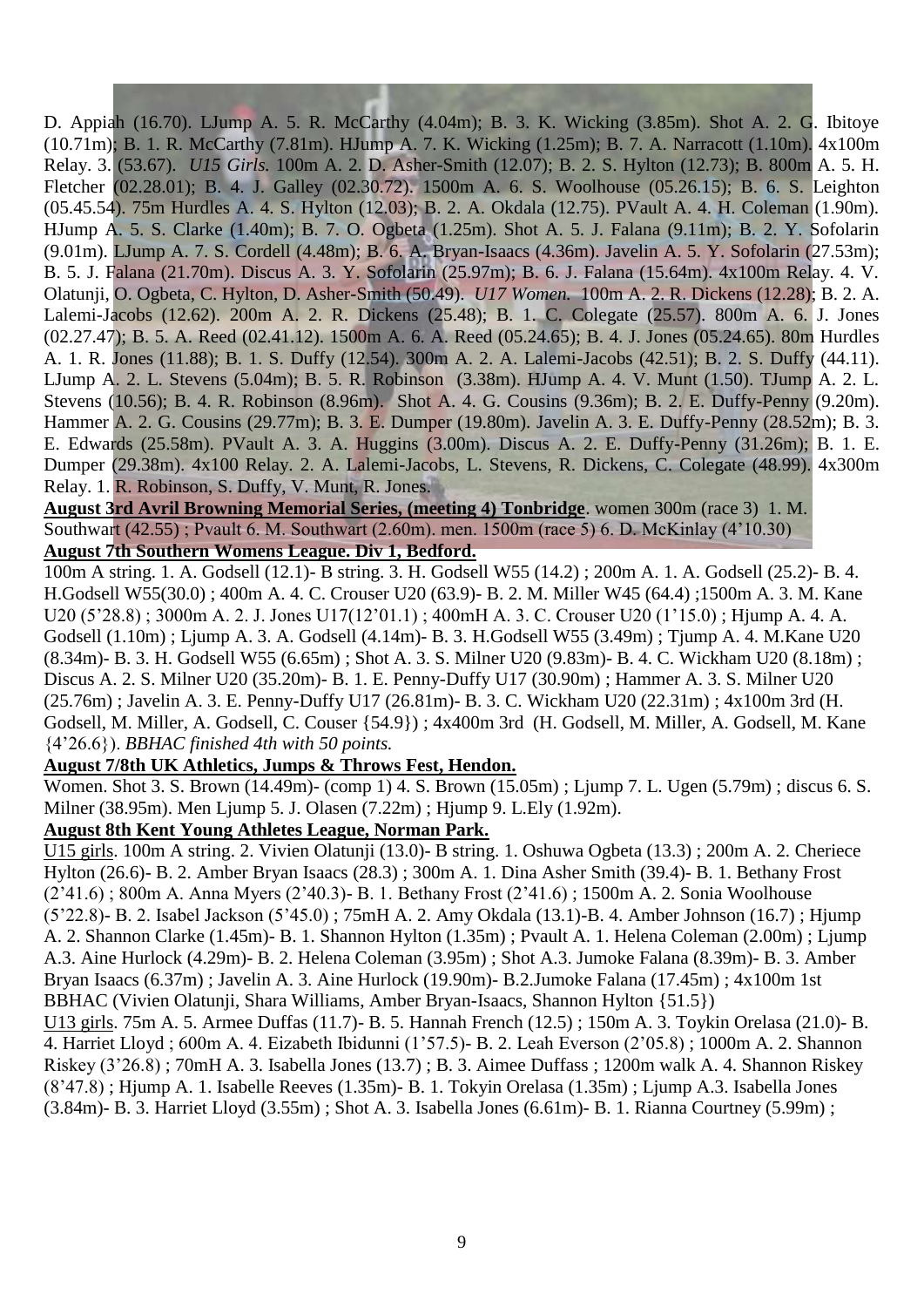D. Appiah (16.70). LJump A. 5. R. McCarthy (4.04m); B. 3. K. Wicking (3.85m). Shot A. 2. G. Ibitoye (10.71m); B. 1. R. McCarthy (7.81m). HJump A. 7. K. Wicking (1.25m); B. 7. A. Narracott (1.10m). 4x100m Relay. 3. (53.67). *U15 Girls.* 100m A. 2. D. Asher-Smith (12.07); B. 2. S. Hylton (12.73); B. 800m A. 5. H. Fletcher (02.28.01); B. 4. J. Galley (02.30.72). 1500m A. 6. S. Woolhouse (05.26.15); B. 6. S. Leighton (05.45.54). 75m Hurdles A. 4. S. Hylton (12.03); B. 2. A. Okdala (12.75). PVault A. 4. H. Coleman (1.90m). HJump A. 5. S. Clarke (1.40m); B. 7. O. Ogbeta (1.25m). Shot A. 5. J. Falana (9.11m); B. 2. Y. Sofolarin (9.01m). LJump A. 7. S. Cordell (4.48m); B. 6. A. Bryan-Isaacs (4.36m). Javelin A. 5. Y. Sofolarin (27.53m); B. 5. J. Falana (21.70m). Discus A. 3. Y. Sofolarin (25.97m); B. 6. J. Falana (15.64m). 4x100m Relay. 4. V. Olatunji, O. Ogbeta, C. Hylton, D. Asher-Smith (50.49). *U17 Women.* 100m A. 2. R. Dickens (12.28); B. 2. A. Lalemi-Jacobs (12.62). 200m A. 2. R. Dickens (25.48); B. 1. C. Colegate (25.57). 800m A. 6. J. Jones (02.27.47); B. 5. A. Reed (02.41.12). 1500m A. 6. A. Reed (05.24.65); B. 4. J. Jones (05.24.65). 80m Hurdles A. 1. R. Jones (11.88); B. 1. S. Duffy (12.54). 300m A. 2. A. Lalemi-Jacobs (42.51); B. 2. S. Duffy (44.11). LJump A. 2. L. Stevens (5.04m); B. 5. R. Robinson (3.38m). HJump A. 4. V. Munt (1.50). TJump A. 2. L. Stevens (10.56); B. 4. R. Robinson (8.96m). Shot A. 4. G. Cousins (9.36m); B. 2. E. Duffy-Penny (9.20m). Hammer A. 2. G. Cousins (29.77m); B. 3. E. Dumper (19.80m). Javelin A. 3. E. Duffy-Penny (28.52m); B. 3. E. Edwards (25.58m). PVault A. 3. A. Huggins (3.00m). Discus A. 2. E. Duffy-Penny (31.26m); B. 1. E. Dumper (29.38m). 4x100 Relay. 2. A. Lalemi-Jacobs, L. Stevens, R. Dickens, C. Colegate (48.99). 4x300m Relay. 1. R. Robinson, S. Duffy, V. Munt, R. Jones.

**August 3rd Avril Browning Memorial Series, (meeting 4) Tonbridge**. women 300m (race 3) 1. M. Southwart (42.55) ; Pvault 6. M. Southwart (2.60m). men. 1500m (race 5) 6. D. McKinlay (4"10.30) **August 7th Southern Womens League. Div 1, Bedford.**

100m A string. 1. A. Godsell (12.1)- B string. 3. H. Godsell W55 (14.2) ; 200m A. 1. A. Godsell (25.2)- B. 4. H.Godsell W55(30.0) ; 400m A. 4. C. Crouser U20 (63.9)- B. 2. M. Miller W45 (64.4) ;1500m A. 3. M. Kane U20 (5"28.8) ; 3000m A. 2. J. Jones U17(12"01.1) ; 400mH A. 3. C. Crouser U20 (1"15.0) ; Hjump A. 4. A. Godsell (1.10m) ; Ljump A. 3. A. Godsell (4.14m)- B. 3. H.Godsell W55 (3.49m) ; Tjump A. 4. M.Kane U20 (8.34m)- B. 3. H. Godsell W55 (6.65m) ; Shot A. 3. S. Milner U20 (9.83m)- B. 4. C. Wickham U20 (8.18m) ; Discus A. 2. S. Milner U20 (35.20m)- B. 1. E. Penny-Duffy U17 (30.90m) ; Hammer A. 3. S. Milner U20 (25.76m) ; Javelin A. 3. E. Penny-Duffy U17 (26.81m)- B. 3. C. Wickham U20 (22.31m) ; 4x100m 3rd (H. Godsell, M. Miller, A. Godsell, C. Couser {54.9}) ; 4x400m 3rd (H. Godsell, M. Miller, A. Godsell, M. Kane {4"26.6}). *BBHAC finished 4th with 50 points.*

#### **August 7/8th UK Athletics, Jumps & Throws Fest, Hendon.**

Women. Shot 3. S. Brown (14.49m)- (comp 1) 4. S. Brown (15.05m) ; Ljump 7. L. Ugen (5.79m) ; discus 6. S. Milner (38.95m). Men Ljump 5. J. Olasen (7.22m) ; Hjump 9. L.Ely (1.92m).

#### **August 8th Kent Young Athletes League, Norman Park.**

U15 girls. 100m A string. 2. Vivien Olatunji (13.0)- B string. 1. Oshuwa Ogbeta (13.3) ; 200m A. 2. Cheriece Hylton (26.6)- B. 2. Amber Bryan Isaacs (28.3) ; 300m A. 1. Dina Asher Smith (39.4)- B. 1. Bethany Frost (2"41.6) ; 800m A. Anna Myers (2"40.3)- B. 1. Bethany Frost (2"41.6) ; 1500m A. 2. Sonia Woolhouse (5"22.8)- B. 2. Isabel Jackson (5"45.0) ; 75mH A. 2. Amy Okdala (13.1)-B. 4. Amber Johnson (16.7) ; Hjump A. 2. Shannon Clarke (1.45m)- B. 1. Shannon Hylton (1.35m) ; Pvault A. 1. Helena Coleman (2.00m) ; Ljump A.3. Aine Hurlock (4.29m)- B. 2. Helena Coleman (3.95m) ; Shot A.3. Jumoke Falana (8.39m)- B. 3. Amber Bryan Isaacs (6.37m) ; Javelin A. 3. Aine Hurlock (19.90m)- B.2.Jumoke Falana (17.45m) ; 4x100m 1st BBHAC (Vivien Olatunji, Shara Williams, Amber Bryan-Isaacs, Shannon Hylton {51.5})

U13 girls. 75m A. 5. Armee Duffas (11.7)- B. 5. Hannah French (12.5) ; 150m A. 3. Toykin Orelasa (21.0)- B. 4. Harriet Lloyd ; 600m A. 4. Eizabeth Ibidunni (1"57.5)- B. 2. Leah Everson (2"05.8) ; 1000m A. 2. Shannon Riskey (3"26.8) ; 70mH A. 3. Isabella Jones (13.7) ; B. 3. Aimee Duffass ; 1200m walk A. 4. Shannon Riskey (8"47.8) ; Hjump A. 1. Isabelle Reeves (1.35m)- B. 1. Tokyin Orelasa (1.35m) ; Ljump A.3. Isabella Jones (3.84m)- B. 3. Harriet Lloyd (3.55m) ; Shot A. 3. Isabella Jones (6.61m)- B. 1. Rianna Courtney (5.99m) ;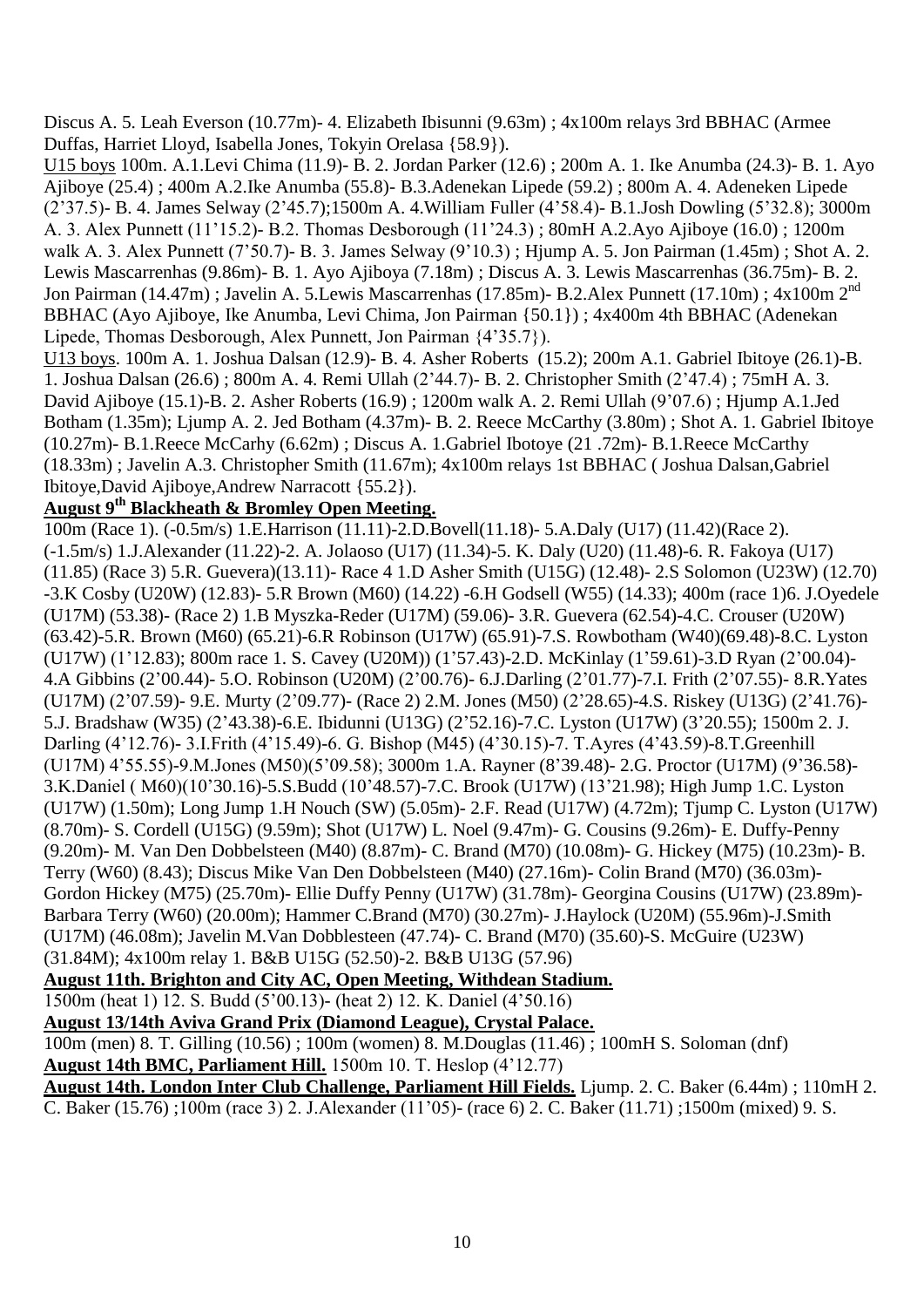Discus A. 5. Leah Everson (10.77m)- 4. Elizabeth Ibisunni (9.63m) ; 4x100m relays 3rd BBHAC (Armee Duffas, Harriet Lloyd, Isabella Jones, Tokyin Orelasa {58.9}).

U15 boys 100m. A.1.Levi Chima (11.9)- B. 2. Jordan Parker (12.6) ; 200m A. 1. Ike Anumba (24.3)- B. 1. Ayo Ajiboye (25.4) ; 400m A.2.Ike Anumba (55.8)- B.3.Adenekan Lipede (59.2) ; 800m A. 4. Adeneken Lipede (2"37.5)- B. 4. James Selway (2"45.7);1500m A. 4.William Fuller (4"58.4)- B.1.Josh Dowling (5"32.8); 3000m A. 3. Alex Punnett (11"15.2)- B.2. Thomas Desborough (11"24.3) ; 80mH A.2.Ayo Ajiboye (16.0) ; 1200m walk A. 3. Alex Punnett (7"50.7)- B. 3. James Selway (9"10.3) ; Hjump A. 5. Jon Pairman (1.45m) ; Shot A. 2. Lewis Mascarrenhas (9.86m)- B. 1. Ayo Ajiboya (7.18m) ; Discus A. 3. Lewis Mascarrenhas (36.75m)- B. 2. Jon Pairman (14.47m) ; Javelin A. 5.Lewis Mascarrenhas (17.85m)- B.2.Alex Punnett (17.10m) ; 4x100m 2nd BBHAC (Ayo Ajiboye, Ike Anumba, Levi Chima, Jon Pairman {50.1}) ; 4x400m 4th BBHAC (Adenekan Lipede, Thomas Desborough, Alex Punnett, Jon Pairman {4"35.7}).

U13 boys. 100m A. 1. Joshua Dalsan (12.9)- B. 4. Asher Roberts (15.2); 200m A.1. Gabriel Ibitoye (26.1)-B. 1. Joshua Dalsan (26.6) ; 800m A. 4. Remi Ullah (2"44.7)- B. 2. Christopher Smith (2"47.4) ; 75mH A. 3. David Ajiboye (15.1)-B. 2. Asher Roberts (16.9) ; 1200m walk A. 2. Remi Ullah (9"07.6) ; Hjump A.1.Jed Botham (1.35m); Ljump A. 2. Jed Botham (4.37m)- B. 2. Reece McCarthy (3.80m) ; Shot A. 1. Gabriel Ibitoye (10.27m)- B.1.Reece McCarhy (6.62m) ; Discus A. 1.Gabriel Ibotoye (21 .72m)- B.1.Reece McCarthy (18.33m) ; Javelin A.3. Christopher Smith (11.67m); 4x100m relays 1st BBHAC ( Joshua Dalsan,Gabriel Ibitoye,David Ajiboye,Andrew Narracott {55.2}).

# **August 9th Blackheath & Bromley Open Meeting.**

100m (Race 1). (-0.5m/s) 1.E.Harrison (11.11)-2.D.Bovell(11.18)- 5.A.Daly (U17) (11.42)(Race 2). (-1.5m/s) 1.J.Alexander (11.22)-2. A. Jolaoso (U17) (11.34)-5. K. Daly (U20) (11.48)-6. R. Fakoya (U17) (11.85) (Race 3) 5.R. Guevera)(13.11)- Race 4 1.D Asher Smith (U15G) (12.48)- 2.S Solomon (U23W) (12.70) -3.K Cosby (U20W) (12.83)- 5.R Brown (M60) (14.22) -6.H Godsell (W55) (14.33); 400m (race 1)6. J.Oyedele (U17M) (53.38)- (Race 2) 1.B Myszka-Reder (U17M) (59.06)- 3.R. Guevera (62.54)-4.C. Crouser (U20W) (63.42)-5.R. Brown (M60) (65.21)-6.R Robinson (U17W) (65.91)-7.S. Rowbotham (W40)(69.48)-8.C. Lyston (U17W) (1"12.83); 800m race 1. S. Cavey (U20M)) (1"57.43)-2.D. McKinlay (1"59.61)-3.D Ryan (2"00.04)- 4.A Gibbins (2"00.44)- 5.O. Robinson (U20M) (2"00.76)- 6.J.Darling (2"01.77)-7.I. Frith (2"07.55)- 8.R.Yates (U17M) (2"07.59)- 9.E. Murty (2"09.77)- (Race 2) 2.M. Jones (M50) (2"28.65)-4.S. Riskey (U13G) (2"41.76)- 5.J. Bradshaw (W35) (2"43.38)-6.E. Ibidunni (U13G) (2"52.16)-7.C. Lyston (U17W) (3"20.55); 1500m 2. J. Darling (4"12.76)- 3.I.Frith (4"15.49)-6. G. Bishop (M45) (4"30.15)-7. T.Ayres (4"43.59)-8.T.Greenhill (U17M) 4"55.55)-9.M.Jones (M50)(5"09.58); 3000m 1.A. Rayner (8"39.48)- 2.G. Proctor (U17M) (9"36.58)- 3.K.Daniel ( M60)(10"30.16)-5.S.Budd (10"48.57)-7.C. Brook (U17W) (13"21.98); High Jump 1.C. Lyston (U17W) (1.50m); Long Jump 1.H Nouch (SW) (5.05m)- 2.F. Read (U17W) (4.72m); Tjump C. Lyston (U17W) (8.70m)- S. Cordell (U15G) (9.59m); Shot (U17W) L. Noel (9.47m)- G. Cousins (9.26m)- E. Duffy-Penny (9.20m)- M. Van Den Dobbelsteen (M40) (8.87m)- C. Brand (M70) (10.08m)- G. Hickey (M75) (10.23m)- B. Terry (W60) (8.43); Discus Mike Van Den Dobbelsteen (M40) (27.16m)- Colin Brand (M70) (36.03m)- Gordon Hickey (M75) (25.70m)- Ellie Duffy Penny (U17W) (31.78m)- Georgina Cousins (U17W) (23.89m)- Barbara Terry (W60) (20.00m); Hammer C.Brand (M70) (30.27m)- J.Haylock (U20M) (55.96m)-J.Smith (U17M) (46.08m); Javelin M.Van Dobblesteen (47.74)- C. Brand (M70) (35.60)-S. McGuire (U23W) (31.84M); 4x100m relay 1. B&B U15G (52.50)-2. B&B U13G (57.96)

**August 11th. Brighton and City AC, Open Meeting, Withdean Stadium.**

1500m (heat 1) 12. S. Budd (5"00.13)- (heat 2) 12. K. Daniel (4"50.16)

**August 13/14th Aviva Grand Prix (Diamond League), Crystal Palace.**

100m (men) 8. T. Gilling (10.56) ; 100m (women) 8. M.Douglas (11.46) ; 100mH S. Soloman (dnf) **August 14th BMC, Parliament Hill.** 1500m 10. T. Heslop (4"12.77)

**August 14th. London Inter Club Challenge, Parliament Hill Fields.** Ljump. 2. C. Baker (6.44m) ; 110mH 2. C. Baker (15.76) ;100m (race 3) 2. J.Alexander (11"05)- (race 6) 2. C. Baker (11.71) ;1500m (mixed) 9. S.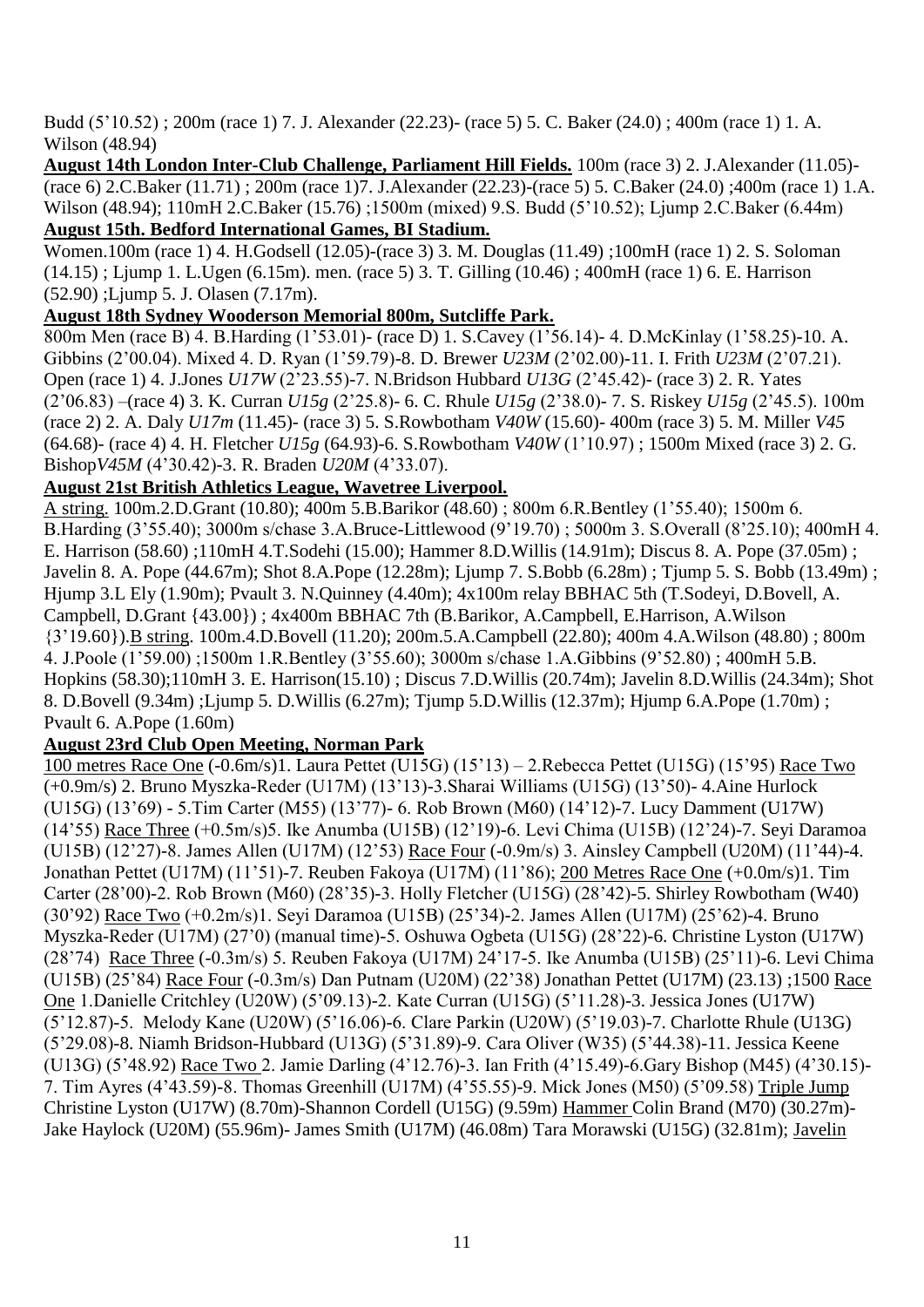Budd (5"10.52) ; 200m (race 1) 7. J. Alexander (22.23)- (race 5) 5. C. Baker (24.0) ; 400m (race 1) 1. A. Wilson (48.94)

**August 14th London Inter-Club Challenge, Parliament Hill Fields.** 100m (race 3) 2. J.Alexander (11.05)- (race 6) 2.C.Baker (11.71) ; 200m (race 1)7. J.Alexander (22.23)-(race 5) 5. C.Baker (24.0) ;400m (race 1) 1.A. Wilson (48.94); 110mH 2.C.Baker (15.76) ;1500m (mixed) 9.S. Budd (5"10.52); Ljump 2.C.Baker (6.44m) **August 15th. Bedford International Games, BI Stadium.**

Women.100m (race 1) 4. H.Godsell (12.05)-(race 3) 3. M. Douglas (11.49) ;100mH (race 1) 2. S. Soloman (14.15) ; Ljump 1. L.Ugen (6.15m). men. (race 5) 3. T. Gilling (10.46) ; 400mH (race 1) 6. E. Harrison (52.90) ;Ljump 5. J. Olasen (7.17m).

### **August 18th Sydney Wooderson Memorial 800m, Sutcliffe Park.**

800m Men (race B) 4. B.Harding (1"53.01)- (race D) 1. S.Cavey (1"56.14)- 4. D.McKinlay (1"58.25)-10. A. Gibbins (2"00.04). Mixed 4. D. Ryan (1"59.79)-8. D. Brewer *U23M* (2"02.00)-11. I. Frith *U23M* (2"07.21). Open (race 1) 4. J.Jones *U17W* (2"23.55)-7. N.Bridson Hubbard *U13G* (2"45.42)- (race 3) 2. R. Yates (2"06.83) –(race 4) 3. K. Curran *U15g* (2"25.8)- 6. C. Rhule *U15g* (2"38.0)- 7. S. Riskey *U15g* (2"45.5). 100m (race 2) 2. A. Daly *U17m* (11.45)- (race 3) 5. S.Rowbotham *V40W* (15.60)- 400m (race 3) 5. M. Miller *V45* (64.68)- (race 4) 4. H. Fletcher *U15g* (64.93)-6. S.Rowbotham *V40W* (1"10.97) ; 1500m Mixed (race 3) 2. G. Bishop*V45M* (4"30.42)-3. R. Braden *U20M* (4"33.07).

#### **August 21st British Athletics League, Wavetree Liverpool.**

A string. 100m.2.D.Grant (10.80); 400m 5.B.Barikor (48.60) ; 800m 6.R.Bentley (1"55.40); 1500m 6. B.Harding (3"55.40); 3000m s/chase 3.A.Bruce-Littlewood (9"19.70) ; 5000m 3. S.Overall (8"25.10); 400mH 4. E. Harrison (58.60) ;110mH 4.T.Sodehi (15.00); Hammer 8.D.Willis (14.91m); Discus 8. A. Pope (37.05m) ; Javelin 8. A. Pope (44.67m); Shot 8.A.Pope (12.28m); Ljump 7. S.Bobb (6.28m) ; Tjump 5. S. Bobb (13.49m) ; Hjump 3.L Ely (1.90m); Pvault 3. N.Quinney (4.40m); 4x100m relay BBHAC 5th (T.Sodeyi, D.Bovell, A. Campbell, D.Grant {43.00}) ; 4x400m BBHAC 7th (B.Barikor, A.Campbell, E.Harrison, A.Wilson {3"19.60}).B string. 100m.4.D.Bovell (11.20); 200m.5.A.Campbell (22.80); 400m 4.A.Wilson (48.80) ; 800m 4. J.Poole (1"59.00) ;1500m 1.R.Bentley (3"55.60); 3000m s/chase 1.A.Gibbins (9"52.80) ; 400mH 5.B. Hopkins (58.30);110mH 3. E. Harrison(15.10) ; Discus 7.D.Willis (20.74m); Javelin 8.D.Willis (24.34m); Shot 8. D.Bovell (9.34m) ;Ljump 5. D.Willis (6.27m); Tjump 5.D.Willis (12.37m); Hjump 6.A.Pope (1.70m) ; Pvault 6. A.Pope (1.60m)

#### **August 23rd Club Open Meeting, Norman Park**

100 metres Race One (-0.6m/s)1. Laura Pettet (U15G) (15"13) – 2.Rebecca Pettet (U15G) (15"95) Race Two (+0.9m/s) 2. Bruno Myszka-Reder (U17M) (13"13)-3.Sharai Williams (U15G) (13"50)- 4.Aine Hurlock (U15G) (13"69) - 5.Tim Carter (M55) (13"77)- 6. Rob Brown (M60) (14"12)-7. Lucy Damment (U17W) (14"55) Race Three (+0.5m/s)5. Ike Anumba (U15B) (12"19)-6. Levi Chima (U15B) (12"24)-7. Seyi Daramoa (U15B) (12"27)-8. James Allen (U17M) (12"53) Race Four (-0.9m/s) 3. Ainsley Campbell (U20M) (11"44)-4. Jonathan Pettet (U17M) (11"51)-7. Reuben Fakoya (U17M) (11"86); 200 Metres Race One (+0.0m/s)1. Tim Carter (28"00)-2. Rob Brown (M60) (28"35)-3. Holly Fletcher (U15G) (28"42)-5. Shirley Rowbotham (W40) (30"92) Race Two (+0.2m/s)1. Seyi Daramoa (U15B) (25"34)-2. James Allen (U17M) (25"62)-4. Bruno Myszka-Reder (U17M) (27"0) (manual time)-5. Oshuwa Ogbeta (U15G) (28"22)-6. Christine Lyston (U17W) (28"74) Race Three (-0.3m/s) 5. Reuben Fakoya (U17M) 24"17-5. Ike Anumba (U15B) (25"11)-6. Levi Chima (U15B) (25"84) Race Four (-0.3m/s) Dan Putnam (U20M) (22"38) Jonathan Pettet (U17M) (23.13) ;1500 Race One 1.Danielle Critchley (U20W) (5"09.13)-2. Kate Curran (U15G) (5"11.28)-3. Jessica Jones (U17W) (5"12.87)-5. Melody Kane (U20W) (5"16.06)-6. Clare Parkin (U20W) (5"19.03)-7. Charlotte Rhule (U13G) (5"29.08)-8. Niamh Bridson-Hubbard (U13G) (5"31.89)-9. Cara Oliver (W35) (5"44.38)-11. Jessica Keene (U13G) (5"48.92) Race Two 2. Jamie Darling (4"12.76)-3. Ian Frith (4"15.49)-6.Gary Bishop (M45) (4"30.15)- 7. Tim Ayres (4"43.59)-8. Thomas Greenhill (U17M) (4"55.55)-9. Mick Jones (M50) (5"09.58) Triple Jump Christine Lyston (U17W) (8.70m)-Shannon Cordell (U15G) (9.59m) Hammer Colin Brand (M70) (30.27m)- Jake Haylock (U20M) (55.96m)- James Smith (U17M) (46.08m) Tara Morawski (U15G) (32.81m); Javelin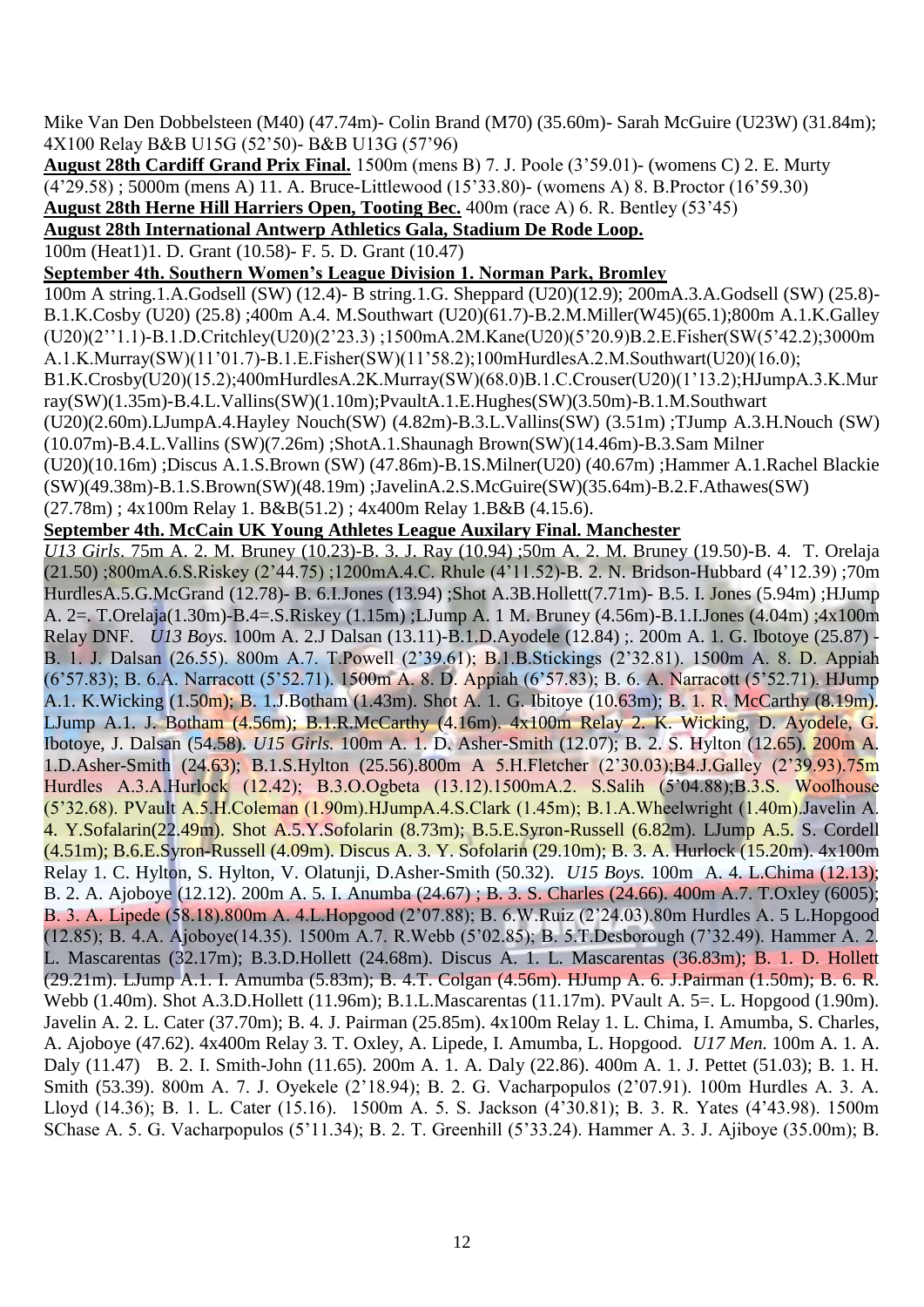Mike Van Den Dobbelsteen (M40) (47.74m)- Colin Brand (M70) (35.60m)- Sarah McGuire (U23W) (31.84m); 4X100 Relay B&B U15G (52"50)- B&B U13G (57"96)

**August 28th Cardiff Grand Prix Final.** 1500m (mens B) 7. J. Poole (3"59.01)- (womens C) 2. E. Murty (4"29.58) ; 5000m (mens A) 11. A. Bruce-Littlewood (15"33.80)- (womens A) 8. B.Proctor (16"59.30) **August 28th Herne Hill Harriers Open, Tooting Bec.** 400m (race A) 6. R. Bentley (53"45)

### **August 28th International Antwerp Athletics Gala, Stadium De Rode Loop.**

100m (Heat1)1. D. Grant (10.58)- F. 5. D. Grant (10.47)

**September 4th. Southern Women's League Division 1. Norman Park, Bromley**

100m A string.1.A.Godsell (SW) (12.4)- B string.1.G. Sheppard (U20)(12.9); 200mA.3.A.Godsell (SW) (25.8)- B.1.K.Cosby (U20) (25.8) ;400m A.4. M.Southwart (U20)(61.7)-B.2.M.Miller(W45)(65.1);800m A.1.K.Galley (U20)(2""1.1)-B.1.D.Critchley(U20)(2"23.3) ;1500mA.2M.Kane(U20)(5"20.9)B.2.E.Fisher(SW(5"42.2);3000m A.1.K.Murray(SW)(11"01.7)-B.1.E.Fisher(SW)(11"58.2);100mHurdlesA.2.M.Southwart(U20)(16.0);

B1.K.Crosby(U20)(15.2);400mHurdlesA.2K.Murray(SW)(68.0)B.1.C.Crouser(U20)(1"13.2);HJumpA.3.K.Mur ray(SW)(1.35m)-B.4.L.Vallins(SW)(1.10m);PvaultA.1.E.Hughes(SW)(3.50m)-B.1.M.Southwart

(U20)(2.60m).LJumpA.4.Hayley Nouch(SW) (4.82m)-B.3.L.Vallins(SW) (3.51m) ;TJump A.3.H.Nouch (SW) (10.07m)-B.4.L.Vallins (SW)(7.26m) ;ShotA.1.Shaunagh Brown(SW)(14.46m)-B.3.Sam Milner

(U20)(10.16m) ;Discus A.1.S.Brown (SW) (47.86m)-B.1S.Milner(U20) (40.67m) ;Hammer A.1.Rachel Blackie (SW)(49.38m)-B.1.S.Brown(SW)(48.19m) ;JavelinA.2.S.McGuire(SW)(35.64m)-B.2.F.Athawes(SW)

(27.78m) ; 4x100m Relay 1. B&B(51.2) ; 4x400m Relay 1.B&B (4.15.6).

#### **September 4th. McCain UK Young Athletes League Auxilary Final. Manchester**

*U13 Girls*. 75m A. 2. M. Bruney (10.23)-B. 3. J. Ray (10.94) ;50m A. 2. M. Bruney (19.50)-B. 4. T. Orelaja (21.50) ;800mA.6.S.Riskey (2"44.75) ;1200mA.4.C. Rhule (4"11.52)-B. 2. N. Bridson-Hubbard (4"12.39) ;70m HurdlesA.5.G.McGrand (12.78)- B. 6.I.Jones (13.94) ;Shot A.3B.Hollett(7.71m)- B.5. I. Jones (5.94m) ;HJump A. 2=. T.Orelaja(1.30m)-B.4=.S.Riskey (1.15m) ;LJump A. 1 M. Bruney (4.56m)-B.1.I.Jones (4.04m) ;4x100m Relay DNF. *U13 Boys.* 100m A. 2.J Dalsan (13.11)-B.1.D.Ayodele (12.84) ;. 200m A. 1. G. Ibotoye (25.87) - B. 1. J. Dalsan (26.55). 800m A.7. T.Powell (2"39.61); B.1.B.Stickings (2"32.81). 1500m A. 8. D. Appiah (6"57.83); B. 6.A. Narracott (5"52.71). 1500m A. 8. D. Appiah (6"57.83); B. 6. A. Narracott (5"52.71). HJump A.1. K.Wicking (1.50m); B. 1.J.Botham (1.43m). Shot A. 1. G. Ibitoye (10.63m); B. 1. R. McCarthy (8.19m). LJump A.1. J. Botham (4.56m); B.1.R.McCarthy (4.16m). 4x100m Relay 2. K. Wicking, D. Ayodele, G. Ibotoye, J. Dalsan (54.58). *U15 Girls.* 100m A. 1. D. Asher-Smith (12.07); B. 2. S. Hylton (12.65). 200m A. 1.D.Asher-Smith (24.63); B.1.S.Hylton (25.56).800m A 5.H.Fletcher (2"30.03);B4.J.Galley (2"39.93).75m Hurdles A.3.A.Hurlock (12.42); B.3.O.Ogbeta (13.12).1500mA.2. S.Salih (5"04.88);B.3.S. Woolhouse (5"32.68). PVault A.5.H.Coleman (1.90m).HJumpA.4.S.Clark (1.45m); B.1.A.Wheelwright (1.40m).Javelin A. 4. Y.Sofalarin(22.49m). Shot A.5.Y.Sofolarin (8.73m); B.5.E.Syron-Russell (6.82m). LJump A.5. S. Cordell (4.51m); B.6.E.Syron-Russell (4.09m). Discus A. 3. Y. Sofolarin (29.10m); B. 3. A. Hurlock (15.20m). 4x100m Relay 1. C. Hylton, S. Hylton, V. Olatunji, D.Asher-Smith (50.32). *U15 Boys.* 100m A. 4. L.Chima (12.13); B. 2. A. Ajoboye (12.12). 200m A. 5. I. Anumba (24.67) ; B. 3. S. Charles (24.66). 400m A.7. T.Oxley (6005); B. 3. A. Lipede (58.18).800m A. 4.L.Hopgood (2"07.88); B. 6.W.Ruiz (2"24.03).80m Hurdles A. 5 L.Hopgood (12.85); B. 4.A. Ajoboye(14.35). 1500m A.7. R.Webb (5"02.85); B. 5.T.Desborough (7"32.49). Hammer A. 2. L. Mascarentas (32.17m); B.3.D.Hollett (24.68m). Discus A. 1. L. Mascarentas (36.83m); B. 1. D. Hollett (29.21m). LJump A.1. I. Amumba (5.83m); B. 4.T. Colgan (4.56m). HJump A. 6. J.Pairman (1.50m); B. 6. R. Webb (1.40m). Shot A.3.D.Hollett (11.96m); B.1.L.Mascarentas (11.17m). PVault A. 5=. L. Hopgood (1.90m). Javelin A. 2. L. Cater (37.70m); B. 4. J. Pairman (25.85m). 4x100m Relay 1. L. Chima, I. Amumba, S. Charles, A. Ajoboye (47.62). 4x400m Relay 3. T. Oxley, A. Lipede, I. Amumba, L. Hopgood. *U17 Men.* 100m A. 1. A. Daly (11.47) B. 2. I. Smith-John (11.65). 200m A. 1. A. Daly (22.86). 400m A. 1. J. Pettet (51.03); B. 1. H. Smith (53.39). 800m A. 7. J. Oyekele (2"18.94); B. 2. G. Vacharpopulos (2"07.91). 100m Hurdles A. 3. A. Lloyd (14.36); B. 1. L. Cater (15.16). 1500m A. 5. S. Jackson (4"30.81); B. 3. R. Yates (4"43.98). 1500m SChase A. 5. G. Vacharpopulos (5"11.34); B. 2. T. Greenhill (5"33.24). Hammer A. 3. J. Ajiboye (35.00m); B.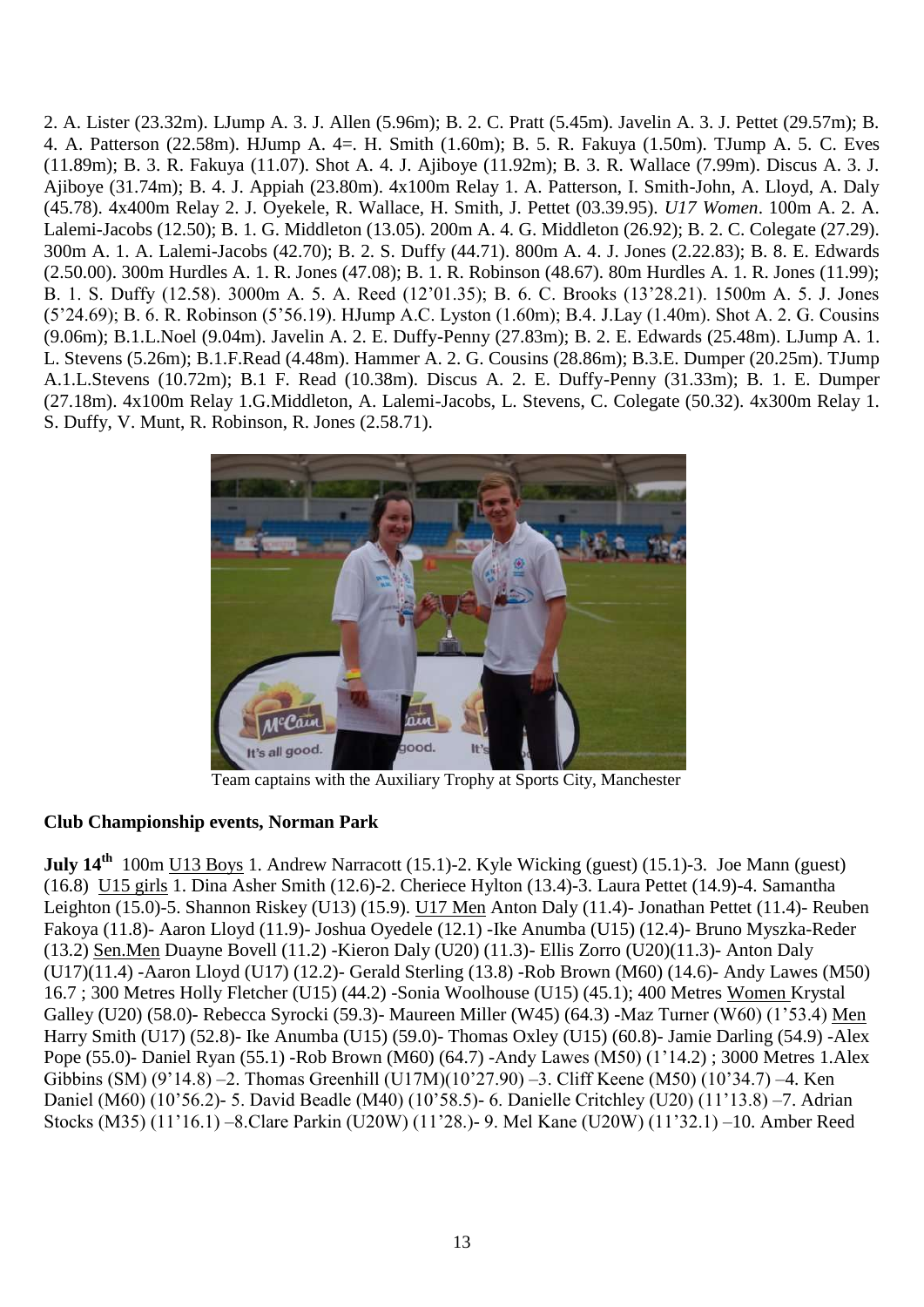2. A. Lister (23.32m). LJump A. 3. J. Allen (5.96m); B. 2. C. Pratt (5.45m). Javelin A. 3. J. Pettet (29.57m); B. 4. A. Patterson (22.58m). HJump A. 4=. H. Smith (1.60m); B. 5. R. Fakuya (1.50m). TJump A. 5. C. Eves (11.89m); B. 3. R. Fakuya (11.07). Shot A. 4. J. Ajiboye (11.92m); B. 3. R. Wallace (7.99m). Discus A. 3. J. Ajiboye (31.74m); B. 4. J. Appiah (23.80m). 4x100m Relay 1. A. Patterson, I. Smith-John, A. Lloyd, A. Daly (45.78). 4x400m Relay 2. J. Oyekele, R. Wallace, H. Smith, J. Pettet (03.39.95). *U17 Women*. 100m A. 2. A. Lalemi-Jacobs (12.50); B. 1. G. Middleton (13.05). 200m A. 4. G. Middleton (26.92); B. 2. C. Colegate (27.29). 300m A. 1. A. Lalemi-Jacobs (42.70); B. 2. S. Duffy (44.71). 800m A. 4. J. Jones (2.22.83); B. 8. E. Edwards (2.50.00). 300m Hurdles A. 1. R. Jones (47.08); B. 1. R. Robinson (48.67). 80m Hurdles A. 1. R. Jones (11.99); B. 1. S. Duffy (12.58). 3000m A. 5. A. Reed (12"01.35); B. 6. C. Brooks (13"28.21). 1500m A. 5. J. Jones (5"24.69); B. 6. R. Robinson (5"56.19). HJump A.C. Lyston (1.60m); B.4. J.Lay (1.40m). Shot A. 2. G. Cousins (9.06m); B.1.L.Noel (9.04m). Javelin A. 2. E. Duffy-Penny (27.83m); B. 2. E. Edwards (25.48m). LJump A. 1. L. Stevens (5.26m); B.1.F.Read (4.48m). Hammer A. 2. G. Cousins (28.86m); B.3.E. Dumper (20.25m). TJump A.1.L.Stevens (10.72m); B.1 F. Read (10.38m). Discus A. 2. E. Duffy-Penny (31.33m); B. 1. E. Dumper (27.18m). 4x100m Relay 1.G.Middleton, A. Lalemi-Jacobs, L. Stevens, C. Colegate (50.32). 4x300m Relay 1. S. Duffy, V. Munt, R. Robinson, R. Jones (2.58.71).



Team captains with the Auxiliary Trophy at Sports City, Manchester

## **Club Championship events, Norman Park**

**July 14<sup>th</sup>** 100m <u>U13 Boys</u> 1. Andrew Narracott (15.1)-2. Kyle Wicking (guest) (15.1)-3. Joe Mann (guest) (16.8) U15 girls 1. Dina Asher Smith (12.6)-2. Cheriece Hylton (13.4)-3. Laura Pettet (14.9)-4. Samantha Leighton (15.0)-5. Shannon Riskey (U13) (15.9). U17 Men Anton Daly (11.4)- Jonathan Pettet (11.4)- Reuben Fakoya (11.8)- Aaron Lloyd (11.9)- Joshua Oyedele (12.1) -Ike Anumba (U15) (12.4)- Bruno Myszka-Reder (13.2) Sen.Men Duayne Bovell (11.2) -Kieron Daly (U20) (11.3)- Ellis Zorro (U20)(11.3)- Anton Daly (U17)(11.4) -Aaron Lloyd (U17) (12.2)- Gerald Sterling (13.8) -Rob Brown (M60) (14.6)- Andy Lawes (M50) 16.7 ; 300 Metres Holly Fletcher (U15) (44.2) -Sonia Woolhouse (U15) (45.1); 400 Metres Women Krystal Galley (U20) (58.0)- Rebecca Syrocki (59.3)- Maureen Miller (W45) (64.3) -Maz Turner (W60) (1"53.4) Men Harry Smith (U17) (52.8)- Ike Anumba (U15) (59.0)- Thomas Oxley (U15) (60.8)- Jamie Darling (54.9) -Alex Pope (55.0)- Daniel Ryan (55.1) -Rob Brown (M60) (64.7) -Andy Lawes (M50) (1"14.2) ; 3000 Metres 1.Alex Gibbins (SM) (9"14.8) –2. Thomas Greenhill (U17M)(10"27.90) –3. Cliff Keene (M50) (10"34.7) –4. Ken Daniel (M60) (10"56.2)- 5. David Beadle (M40) (10"58.5)- 6. Danielle Critchley (U20) (11"13.8) –7. Adrian Stocks (M35) (11"16.1) –8.Clare Parkin (U20W) (11"28.)- 9. Mel Kane (U20W) (11"32.1) –10. Amber Reed